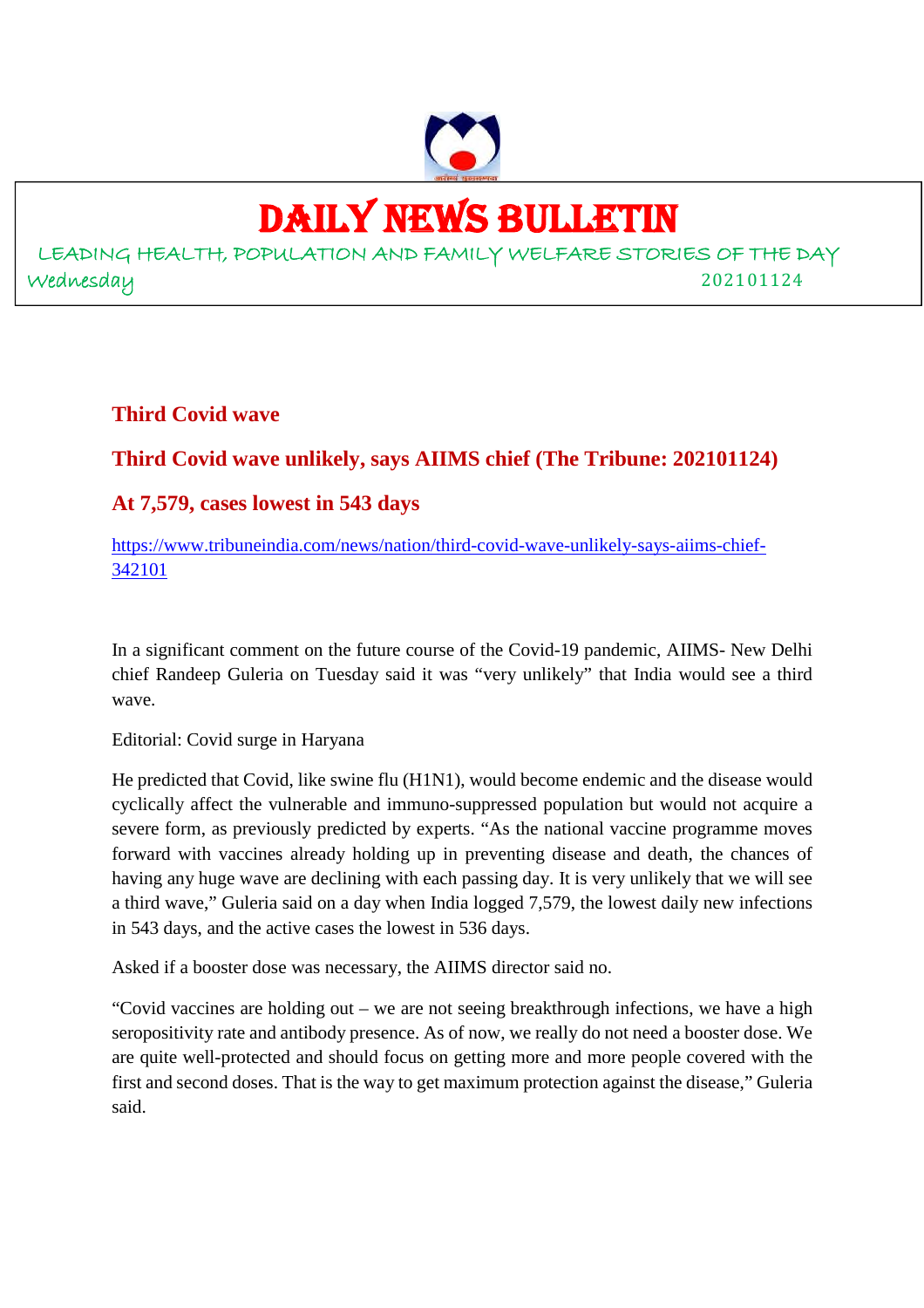

# DAILY NEWS BULLETIN

LEADING HEALTH, POPULATION AND FAMILY WELFARE STORIES OF THE DAY Wednesday 202101124

**Third Covid wave**

# **Third Covid wave unlikely, says AIIMS chief (The Tribune: 202101124)**

# **At 7,579, cases lowest in 543 days**

https://www.tribuneindia.com/news/nation/third-covid-wave-unlikely-says-aiims-chief-342101

In a significant comment on the future course of the Covid-19 pandemic, AIIMS- New Delhi chief Randeep Guleria on Tuesday said it was "very unlikely" that India would see a third wave.

Editorial: Covid surge in Haryana

He predicted that Covid, like swine flu (H1N1), would become endemic and the disease would cyclically affect the vulnerable and immuno-suppressed population but would not acquire a severe form, as previously predicted by experts. "As the national vaccine programme moves forward with vaccines already holding up in preventing disease and death, the chances of having any huge wave are declining with each passing day. It is very unlikely that we will see a third wave," Guleria said on a day when India logged 7,579, the lowest daily new infections in 543 days, and the active cases the lowest in 536 days.

Asked if a booster dose was necessary, the AIIMS director said no.

"Covid vaccines are holding out – we are not seeing breakthrough infections, we have a high seropositivity rate and antibody presence. As of now, we really do not need a booster dose. We are quite well-protected and should focus on getting more and more people covered with the first and second doses. That is the way to get maximum protection against the disease," Guleria said.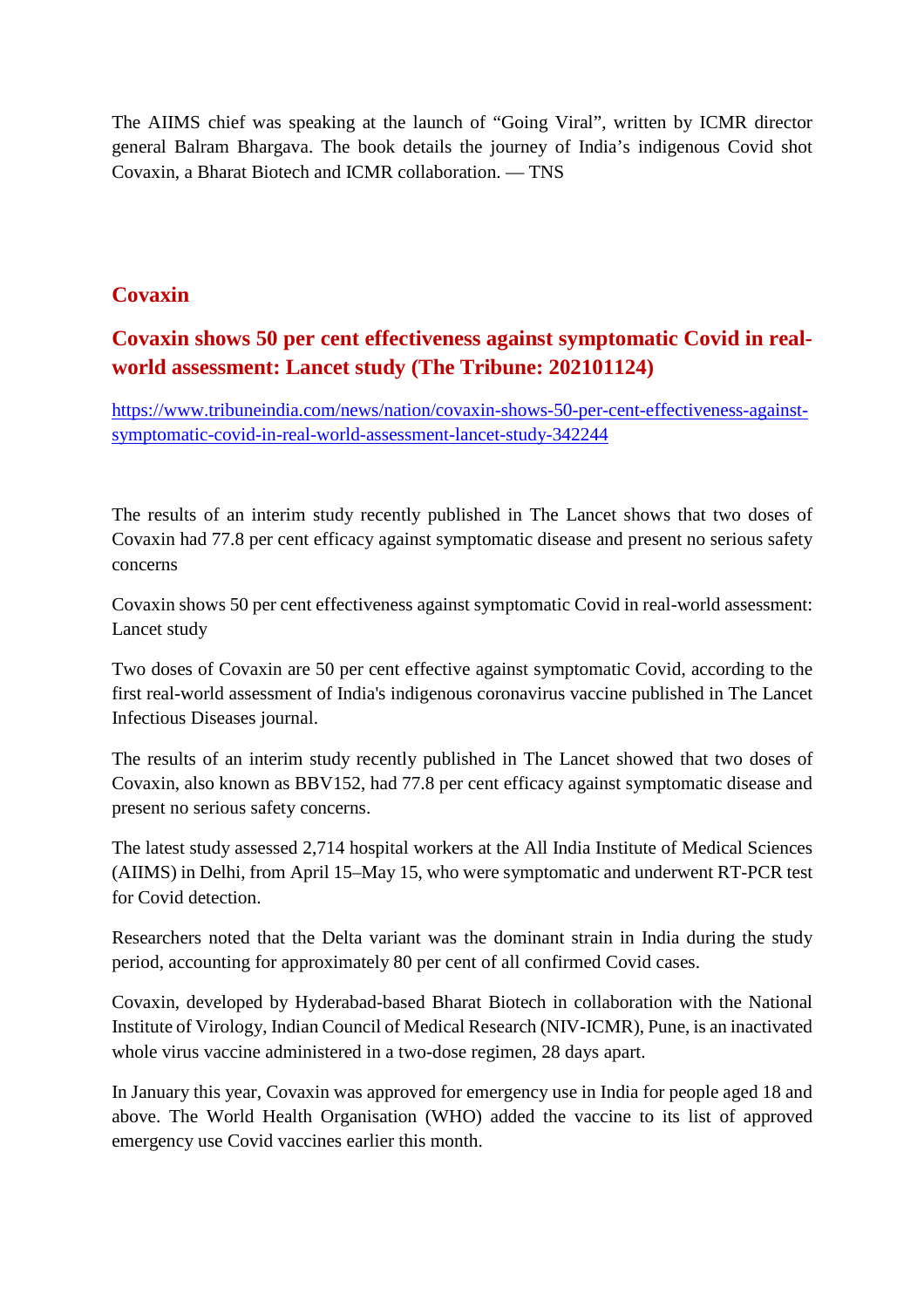The AIIMS chief was speaking at the launch of "Going Viral", written by ICMR director general Balram Bhargava. The book details the journey of India's indigenous Covid shot Covaxin, a Bharat Biotech and ICMR collaboration. — TNS

### **Covaxin**

# **Covaxin shows 50 per cent effectiveness against symptomatic Covid in realworld assessment: Lancet study (The Tribune: 202101124)**

https://www.tribuneindia.com/news/nation/covaxin-shows-50-per-cent-effectiveness-againstsymptomatic-covid-in-real-world-assessment-lancet-study-342244

The results of an interim study recently published in The Lancet shows that two doses of Covaxin had 77.8 per cent efficacy against symptomatic disease and present no serious safety concerns

Covaxin shows 50 per cent effectiveness against symptomatic Covid in real-world assessment: Lancet study

Two doses of Covaxin are 50 per cent effective against symptomatic Covid, according to the first real-world assessment of India's indigenous coronavirus vaccine published in The Lancet Infectious Diseases journal.

The results of an interim study recently published in The Lancet showed that two doses of Covaxin, also known as BBV152, had 77.8 per cent efficacy against symptomatic disease and present no serious safety concerns.

The latest study assessed 2,714 hospital workers at the All India Institute of Medical Sciences (AIIMS) in Delhi, from April 15–May 15, who were symptomatic and underwent RT-PCR test for Covid detection.

Researchers noted that the Delta variant was the dominant strain in India during the study period, accounting for approximately 80 per cent of all confirmed Covid cases.

Covaxin, developed by Hyderabad-based Bharat Biotech in collaboration with the National Institute of Virology, Indian Council of Medical Research (NIV-ICMR), Pune, is an inactivated whole virus vaccine administered in a two-dose regimen, 28 days apart.

In January this year, Covaxin was approved for emergency use in India for people aged 18 and above. The World Health Organisation (WHO) added the vaccine to its list of approved emergency use Covid vaccines earlier this month.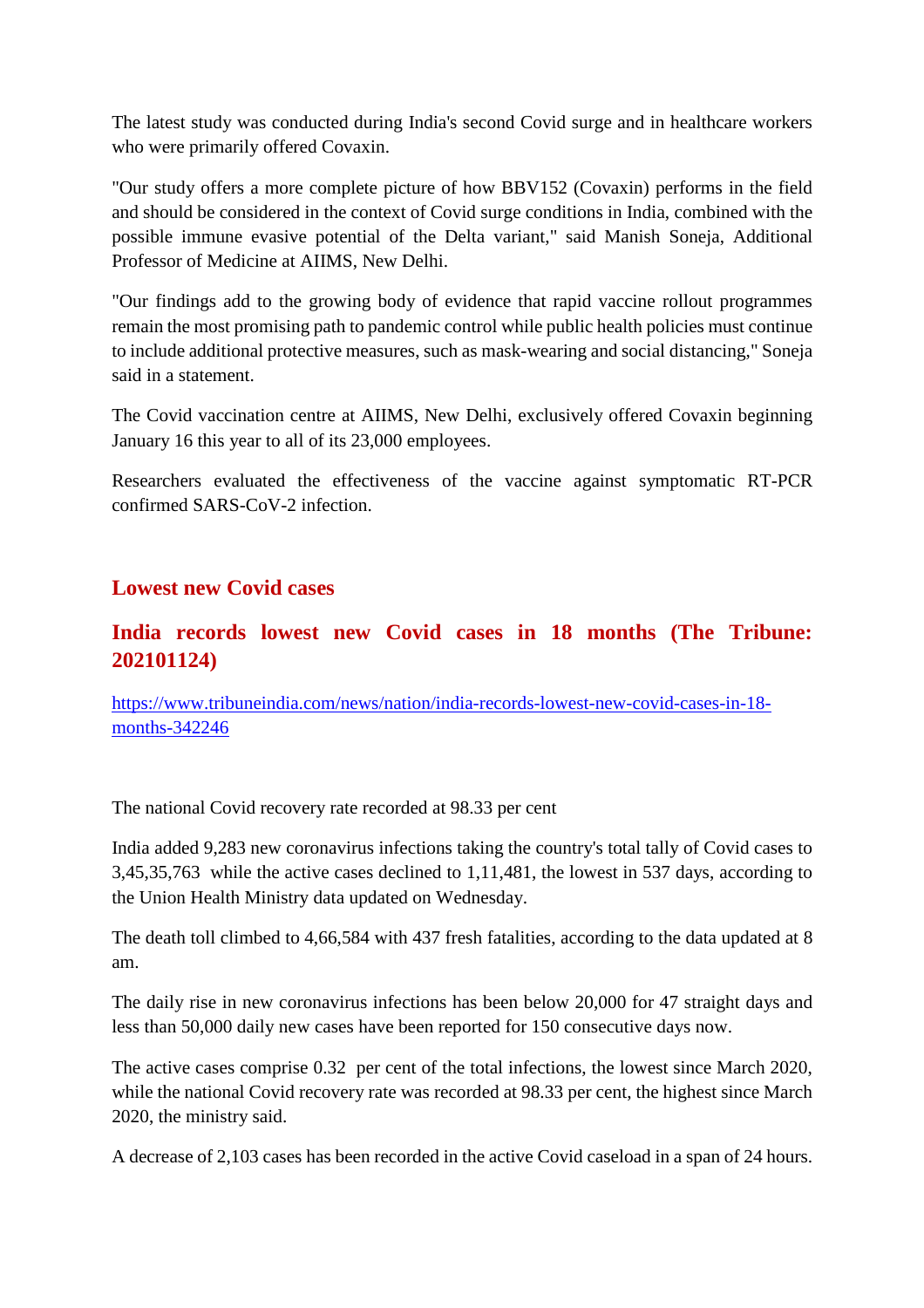The latest study was conducted during India's second Covid surge and in healthcare workers who were primarily offered Covaxin.

"Our study offers a more complete picture of how BBV152 (Covaxin) performs in the field and should be considered in the context of Covid surge conditions in India, combined with the possible immune evasive potential of the Delta variant," said Manish Soneja, Additional Professor of Medicine at AIIMS, New Delhi.

"Our findings add to the growing body of evidence that rapid vaccine rollout programmes remain the most promising path to pandemic control while public health policies must continue to include additional protective measures, such as mask-wearing and social distancing," Soneja said in a statement.

The Covid vaccination centre at AIIMS, New Delhi, exclusively offered Covaxin beginning January 16 this year to all of its 23,000 employees.

Researchers evaluated the effectiveness of the vaccine against symptomatic RT-PCR confirmed SARS-CoV-2 infection.

### **Lowest new Covid cases**

# **India records lowest new Covid cases in 18 months (The Tribune: 202101124)**

https://www.tribuneindia.com/news/nation/india-records-lowest-new-covid-cases-in-18 months-342246

The national Covid recovery rate recorded at 98.33 per cent

India added 9,283 new coronavirus infections taking the country's total tally of Covid cases to 3,45,35,763 while the active cases declined to 1,11,481, the lowest in 537 days, according to the Union Health Ministry data updated on Wednesday.

The death toll climbed to 4,66,584 with 437 fresh fatalities, according to the data updated at 8 am.

The daily rise in new coronavirus infections has been below 20,000 for 47 straight days and less than 50,000 daily new cases have been reported for 150 consecutive days now.

The active cases comprise 0.32 per cent of the total infections, the lowest since March 2020, while the national Covid recovery rate was recorded at 98.33 per cent, the highest since March 2020, the ministry said.

A decrease of 2,103 cases has been recorded in the active Covid caseload in a span of 24 hours.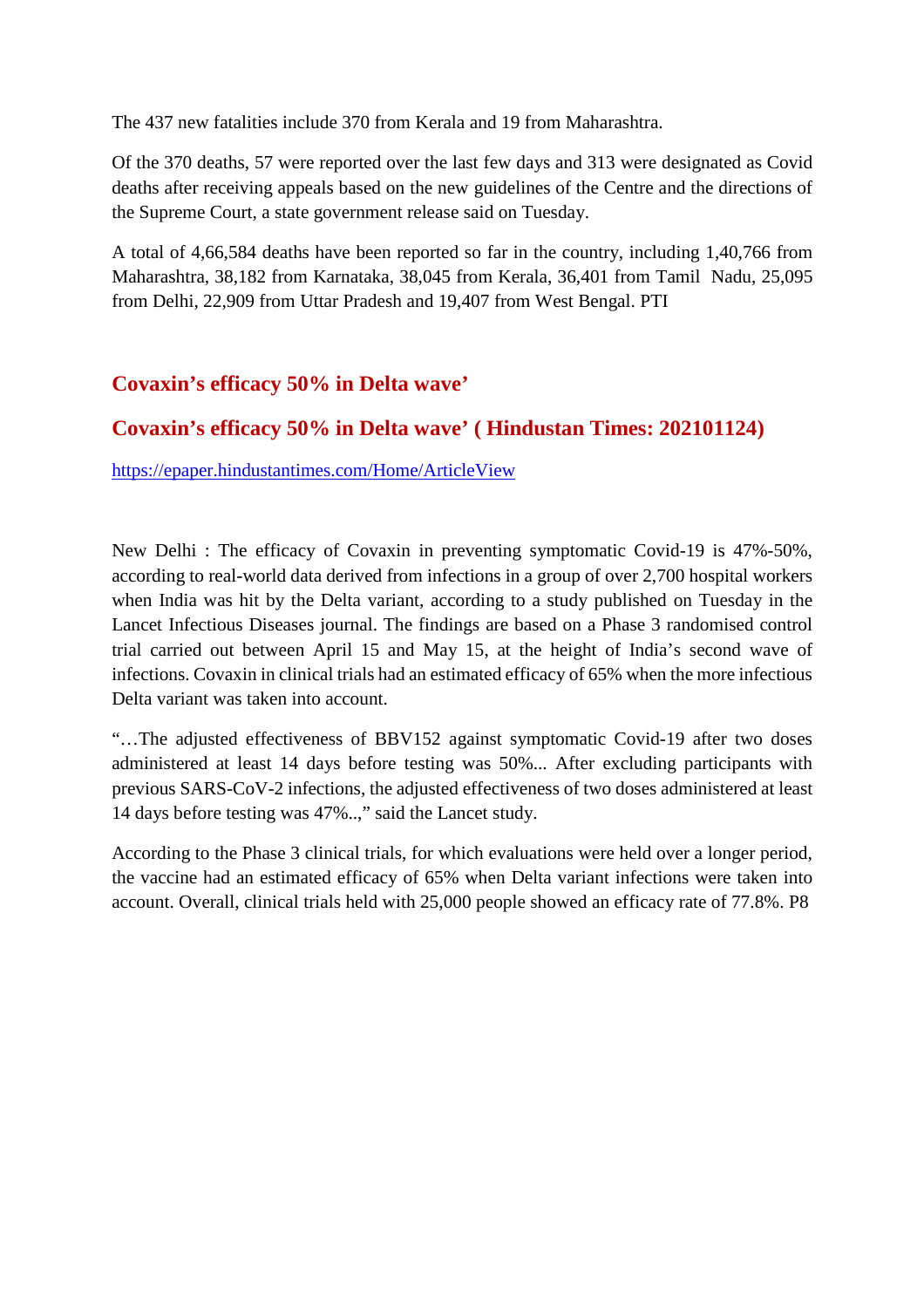The 437 new fatalities include 370 from Kerala and 19 from Maharashtra.

Of the 370 deaths, 57 were reported over the last few days and 313 were designated as Covid deaths after receiving appeals based on the new guidelines of the Centre and the directions of the Supreme Court, a state government release said on Tuesday.

A total of 4,66,584 deaths have been reported so far in the country, including 1,40,766 from Maharashtra, 38,182 from Karnataka, 38,045 from Kerala, 36,401 from Tamil Nadu, 25,095 from Delhi, 22,909 from Uttar Pradesh and 19,407 from West Bengal. PTI

# **Covaxin's efficacy 50% in Delta wave'**

# **Covaxin's efficacy 50% in Delta wave' ( Hindustan Times: 202101124)**

https://epaper.hindustantimes.com/Home/ArticleView

New Delhi : The efficacy of Covaxin in preventing symptomatic Covid-19 is 47%-50%, according to real-world data derived from infections in a group of over 2,700 hospital workers when India was hit by the Delta variant, according to a study published on Tuesday in the Lancet Infectious Diseases journal. The findings are based on a Phase 3 randomised control trial carried out between April 15 and May 15, at the height of India's second wave of infections. Covaxin in clinical trials had an estimated efficacy of 65% when the more infectious Delta variant was taken into account.

"…The adjusted effectiveness of BBV152 against symptomatic Covid-19 after two doses administered at least 14 days before testing was 50%... After excluding participants with previous SARS-CoV-2 infections, the adjusted effectiveness of two doses administered at least 14 days before testing was 47%..," said the Lancet study.

According to the Phase 3 clinical trials, for which evaluations were held over a longer period, the vaccine had an estimated efficacy of 65% when Delta variant infections were taken into account. Overall, clinical trials held with 25,000 people showed an efficacy rate of 77.8%. P8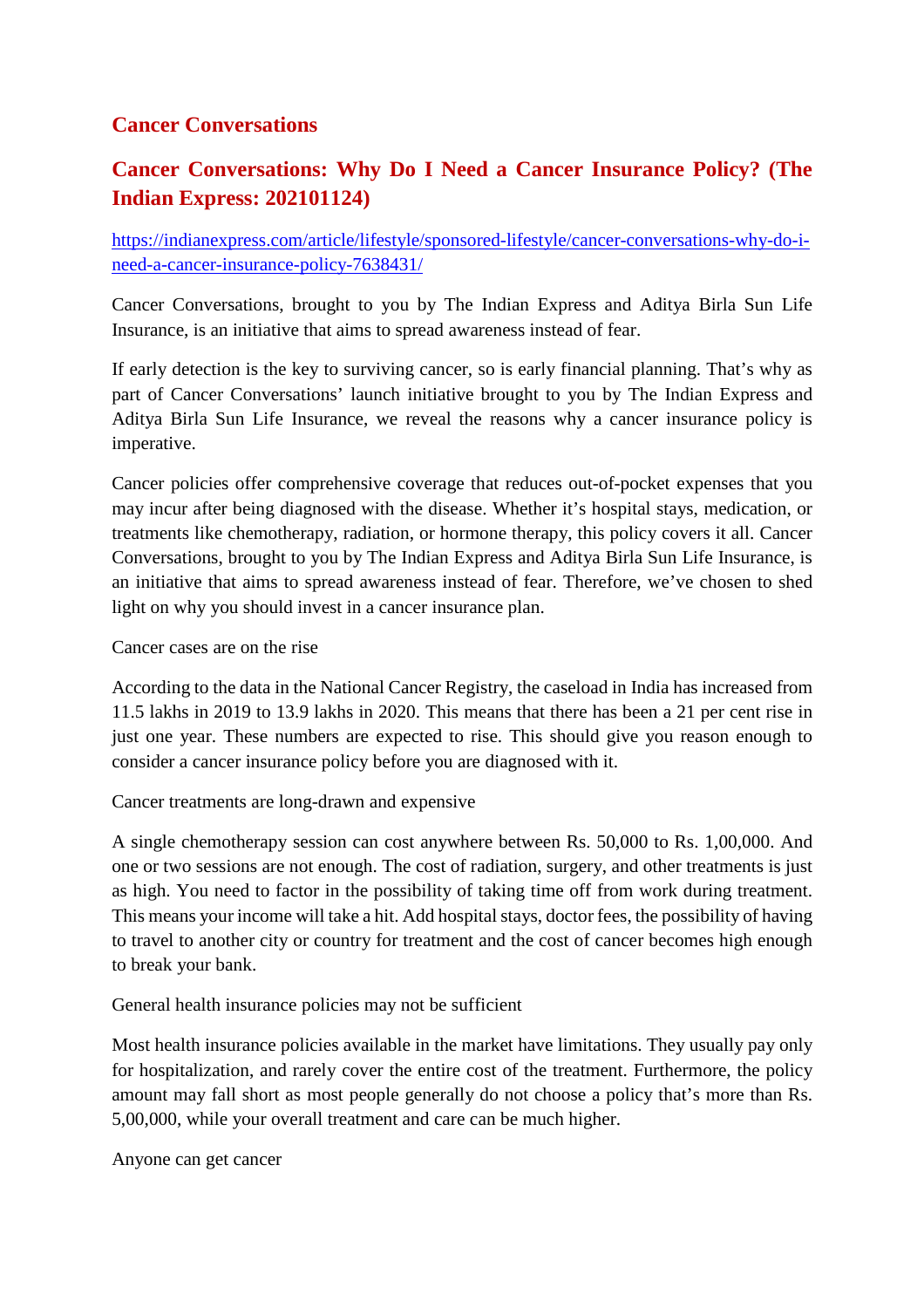### **Cancer Conversations**

# **Cancer Conversations: Why Do I Need a Cancer Insurance Policy? (The Indian Express: 202101124)**

https://indianexpress.com/article/lifestyle/sponsored-lifestyle/cancer-conversations-why-do-ineed-a-cancer-insurance-policy-7638431/

Cancer Conversations, brought to you by The Indian Express and Aditya Birla Sun Life Insurance, is an initiative that aims to spread awareness instead of fear.

If early detection is the key to surviving cancer, so is early financial planning. That's why as part of Cancer Conversations' launch initiative brought to you by The Indian Express and Aditya Birla Sun Life Insurance, we reveal the reasons why a cancer insurance policy is imperative.

Cancer policies offer comprehensive coverage that reduces out-of-pocket expenses that you may incur after being diagnosed with the disease. Whether it's hospital stays, medication, or treatments like chemotherapy, radiation, or hormone therapy, this policy covers it all. Cancer Conversations, brought to you by The Indian Express and Aditya Birla Sun Life Insurance, is an initiative that aims to spread awareness instead of fear. Therefore, we've chosen to shed light on why you should invest in a cancer insurance plan.

Cancer cases are on the rise

According to the data in the National Cancer Registry, the caseload in India has increased from 11.5 lakhs in 2019 to 13.9 lakhs in 2020. This means that there has been a 21 per cent rise in just one year. These numbers are expected to rise. This should give you reason enough to consider a cancer insurance policy before you are diagnosed with it.

Cancer treatments are long-drawn and expensive

A single chemotherapy session can cost anywhere between Rs. 50,000 to Rs. 1,00,000. And one or two sessions are not enough. The cost of radiation, surgery, and other treatments is just as high. You need to factor in the possibility of taking time off from work during treatment. This means your income will take a hit. Add hospital stays, doctor fees, the possibility of having to travel to another city or country for treatment and the cost of cancer becomes high enough to break your bank.

General health insurance policies may not be sufficient

Most health insurance policies available in the market have limitations. They usually pay only for hospitalization, and rarely cover the entire cost of the treatment. Furthermore, the policy amount may fall short as most people generally do not choose a policy that's more than Rs. 5,00,000, while your overall treatment and care can be much higher.

Anyone can get cancer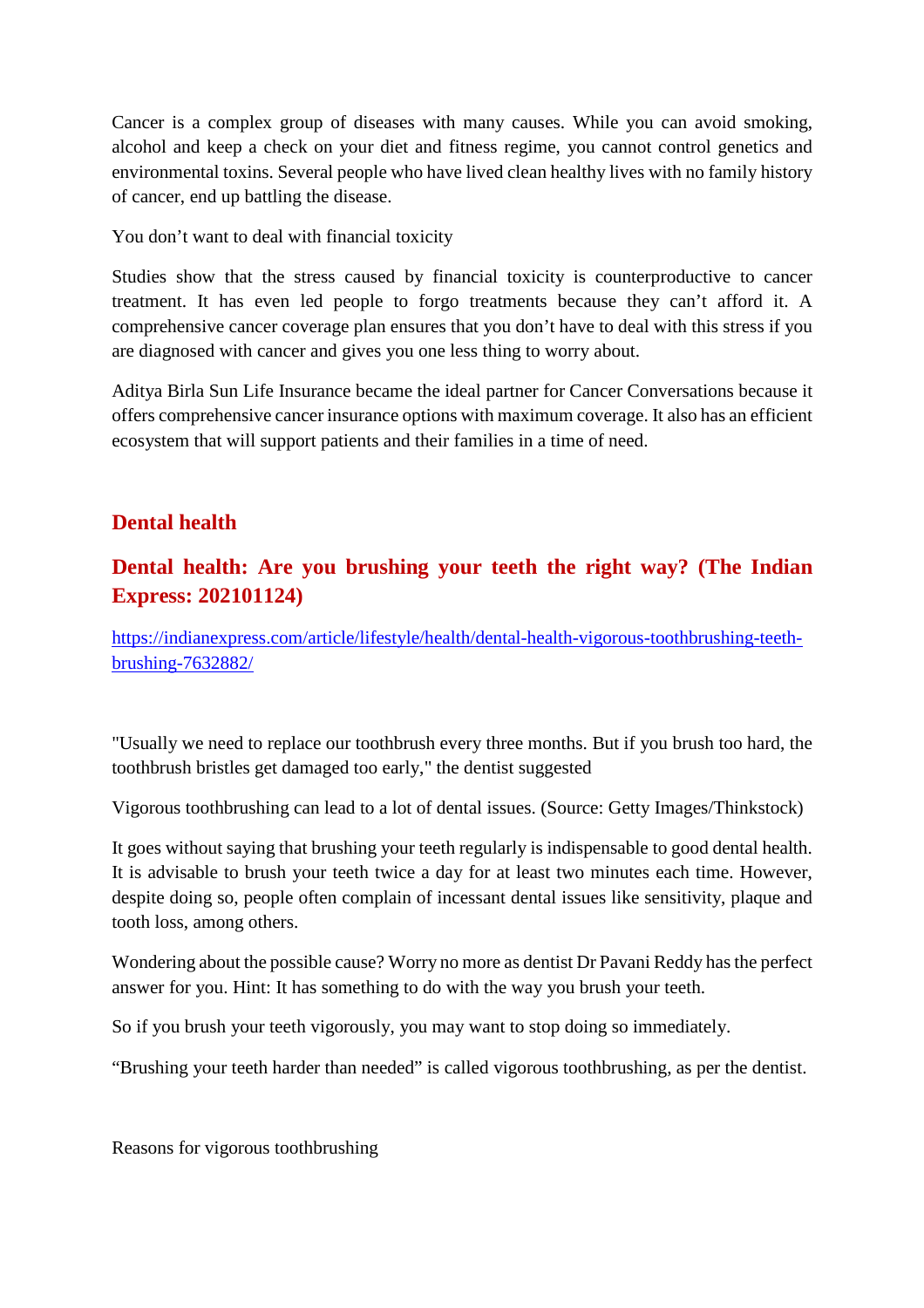Cancer is a complex group of diseases with many causes. While you can avoid smoking, alcohol and keep a check on your diet and fitness regime, you cannot control genetics and environmental toxins. Several people who have lived clean healthy lives with no family history of cancer, end up battling the disease.

You don't want to deal with financial toxicity

Studies show that the stress caused by financial toxicity is counterproductive to cancer treatment. It has even led people to forgo treatments because they can't afford it. A comprehensive cancer coverage plan ensures that you don't have to deal with this stress if you are diagnosed with cancer and gives you one less thing to worry about.

Aditya Birla Sun Life Insurance became the ideal partner for Cancer Conversations because it offers comprehensive cancer insurance options with maximum coverage. It also has an efficient ecosystem that will support patients and their families in a time of need.

### **Dental health**

# **Dental health: Are you brushing your teeth the right way? (The Indian Express: 202101124)**

https://indianexpress.com/article/lifestyle/health/dental-health-vigorous-toothbrushing-teethbrushing-7632882/

"Usually we need to replace our toothbrush every three months. But if you brush too hard, the toothbrush bristles get damaged too early," the dentist suggested

Vigorous toothbrushing can lead to a lot of dental issues. (Source: Getty Images/Thinkstock)

It goes without saying that brushing your teeth regularly is indispensable to good dental health. It is advisable to brush your teeth twice a day for at least two minutes each time. However, despite doing so, people often complain of incessant dental issues like sensitivity, plaque and tooth loss, among others.

Wondering about the possible cause? Worry no more as dentist Dr Pavani Reddy has the perfect answer for you. Hint: It has something to do with the way you brush your teeth.

So if you brush your teeth vigorously, you may want to stop doing so immediately.

"Brushing your teeth harder than needed" is called vigorous toothbrushing, as per the dentist.

Reasons for vigorous toothbrushing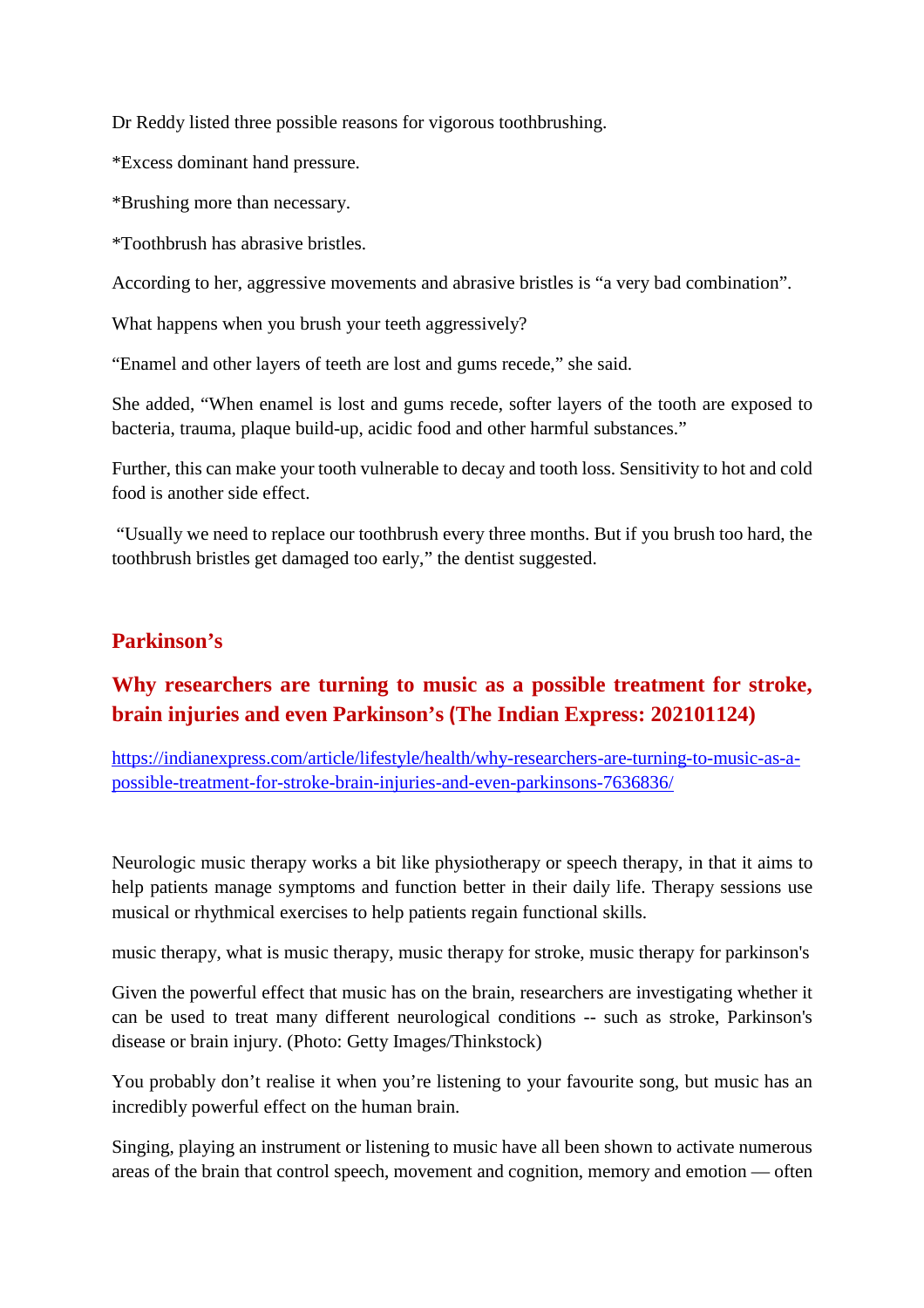Dr Reddy listed three possible reasons for vigorous toothbrushing.

\*Excess dominant hand pressure.

\*Brushing more than necessary.

\*Toothbrush has abrasive bristles.

According to her, aggressive movements and abrasive bristles is "a very bad combination".

What happens when you brush your teeth aggressively?

"Enamel and other layers of teeth are lost and gums recede," she said.

She added, "When enamel is lost and gums recede, softer layers of the tooth are exposed to bacteria, trauma, plaque build-up, acidic food and other harmful substances."

Further, this can make your tooth vulnerable to decay and tooth loss. Sensitivity to hot and cold food is another side effect.

"Usually we need to replace our toothbrush every three months. But if you brush too hard, the toothbrush bristles get damaged too early," the dentist suggested.

### **Parkinson's**

# **Why researchers are turning to music as a possible treatment for stroke, brain injuries and even Parkinson's (The Indian Express: 202101124)**

https://indianexpress.com/article/lifestyle/health/why-researchers-are-turning-to-music-as-apossible-treatment-for-stroke-brain-injuries-and-even-parkinsons-7636836/

Neurologic music therapy works a bit like physiotherapy or speech therapy, in that it aims to help patients manage symptoms and function better in their daily life. Therapy sessions use musical or rhythmical exercises to help patients regain functional skills.

music therapy, what is music therapy, music therapy for stroke, music therapy for parkinson's

Given the powerful effect that music has on the brain, researchers are investigating whether it can be used to treat many different neurological conditions -- such as stroke, Parkinson's disease or brain injury. (Photo: Getty Images/Thinkstock)

You probably don't realise it when you're listening to your favourite song, but music has an incredibly powerful effect on the human brain.

Singing, playing an instrument or listening to music have all been shown to activate numerous areas of the brain that control speech, movement and cognition, memory and emotion — often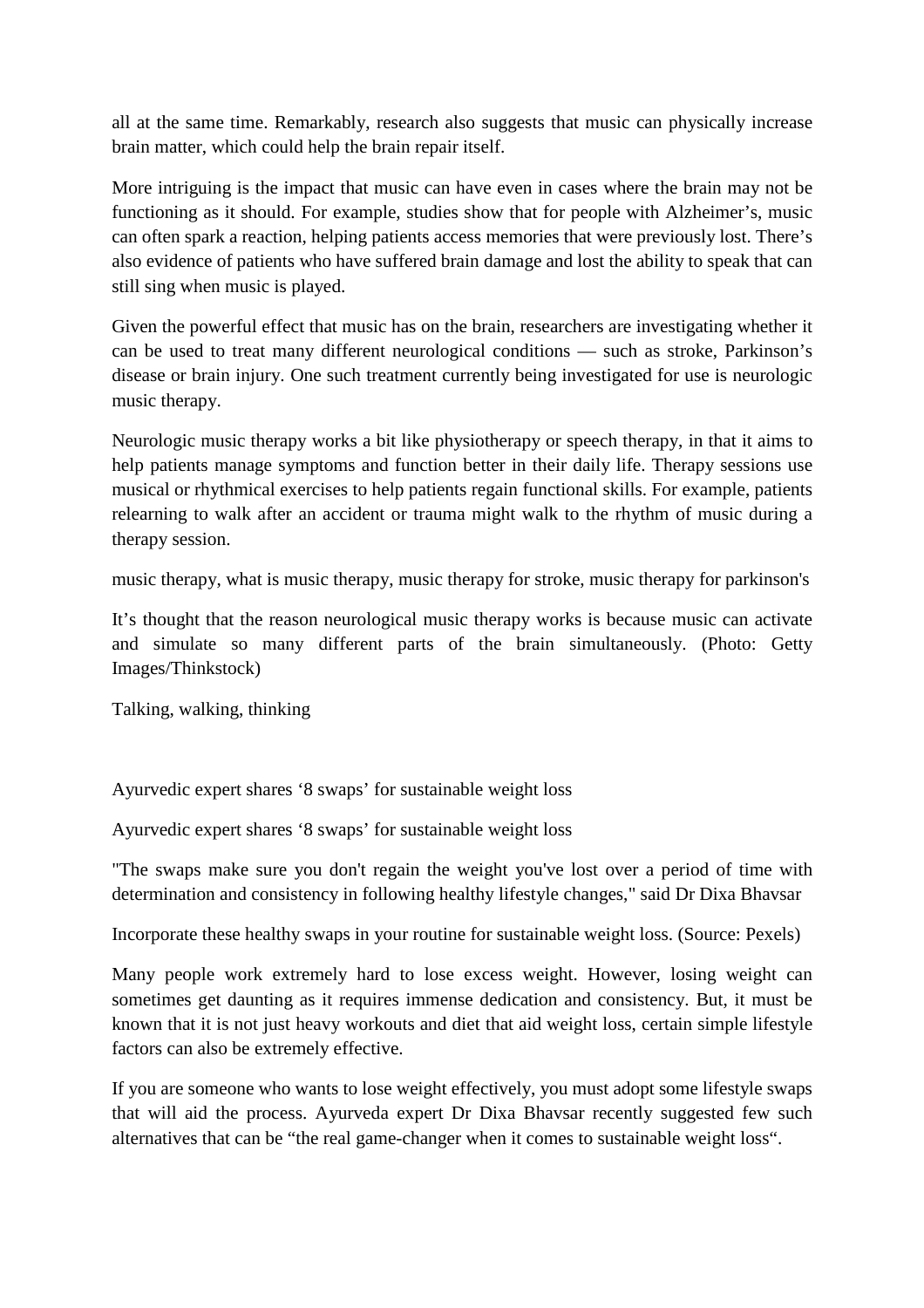all at the same time. Remarkably, research also suggests that music can physically increase brain matter, which could help the brain repair itself.

More intriguing is the impact that music can have even in cases where the brain may not be functioning as it should. For example, studies show that for people with Alzheimer's, music can often spark a reaction, helping patients access memories that were previously lost. There's also evidence of patients who have suffered brain damage and lost the ability to speak that can still sing when music is played.

Given the powerful effect that music has on the brain, researchers are investigating whether it can be used to treat many different neurological conditions — such as stroke, Parkinson's disease or brain injury. One such treatment currently being investigated for use is neurologic music therapy.

Neurologic music therapy works a bit like physiotherapy or speech therapy, in that it aims to help patients manage symptoms and function better in their daily life. Therapy sessions use musical or rhythmical exercises to help patients regain functional skills. For example, patients relearning to walk after an accident or trauma might walk to the rhythm of music during a therapy session.

music therapy, what is music therapy, music therapy for stroke, music therapy for parkinson's

It's thought that the reason neurological music therapy works is because music can activate and simulate so many different parts of the brain simultaneously. (Photo: Getty Images/Thinkstock)

Talking, walking, thinking

Ayurvedic expert shares '8 swaps' for sustainable weight loss

Ayurvedic expert shares '8 swaps' for sustainable weight loss

"The swaps make sure you don't regain the weight you've lost over a period of time with determination and consistency in following healthy lifestyle changes," said Dr Dixa Bhavsar

Incorporate these healthy swaps in your routine for sustainable weight loss. (Source: Pexels)

Many people work extremely hard to lose excess weight. However, losing weight can sometimes get daunting as it requires immense dedication and consistency. But, it must be known that it is not just heavy workouts and diet that aid weight loss, certain simple lifestyle factors can also be extremely effective.

If you are someone who wants to lose weight effectively, you must adopt some lifestyle swaps that will aid the process. Ayurveda expert Dr Dixa Bhavsar recently suggested few such alternatives that can be "the real game-changer when it comes to sustainable weight loss".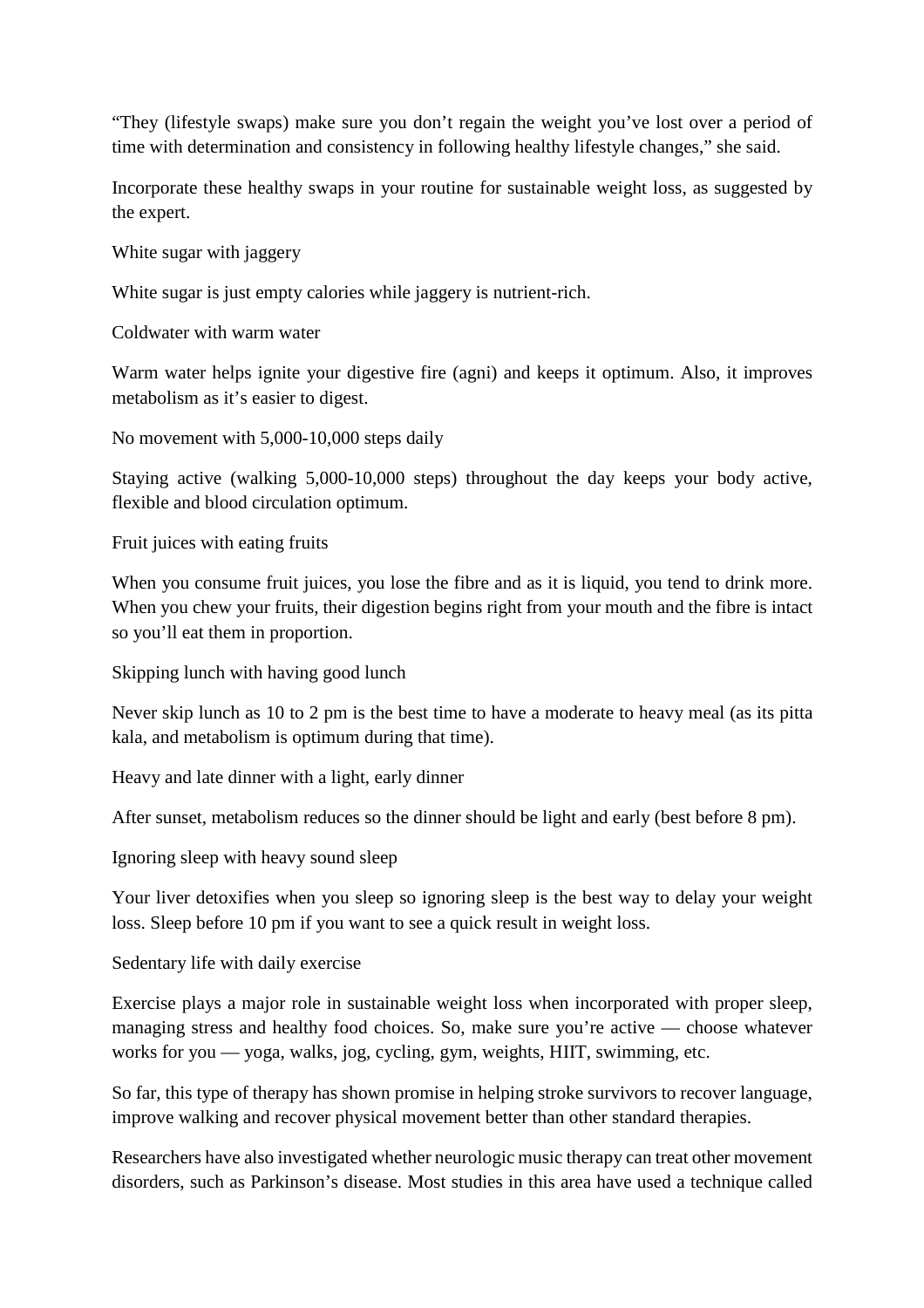"They (lifestyle swaps) make sure you don't regain the weight you've lost over a period of time with determination and consistency in following healthy lifestyle changes," she said.

Incorporate these healthy swaps in your routine for sustainable weight loss, as suggested by the expert.

White sugar with jaggery

White sugar is just empty calories while jaggery is nutrient-rich.

Coldwater with warm water

Warm water helps ignite your digestive fire (agni) and keeps it optimum. Also, it improves metabolism as it's easier to digest.

No movement with 5,000-10,000 steps daily

Staying active (walking 5,000-10,000 steps) throughout the day keeps your body active, flexible and blood circulation optimum.

Fruit juices with eating fruits

When you consume fruit juices, you lose the fibre and as it is liquid, you tend to drink more. When you chew your fruits, their digestion begins right from your mouth and the fibre is intact so you'll eat them in proportion.

Skipping lunch with having good lunch

Never skip lunch as 10 to 2 pm is the best time to have a moderate to heavy meal (as its pitta kala, and metabolism is optimum during that time).

Heavy and late dinner with a light, early dinner

After sunset, metabolism reduces so the dinner should be light and early (best before 8 pm).

Ignoring sleep with heavy sound sleep

Your liver detoxifies when you sleep so ignoring sleep is the best way to delay your weight loss. Sleep before 10 pm if you want to see a quick result in weight loss.

Sedentary life with daily exercise

Exercise plays a major role in sustainable weight loss when incorporated with proper sleep, managing stress and healthy food choices. So, make sure you're active — choose whatever works for you — yoga, walks, jog, cycling, gym, weights, HIIT, swimming, etc.

So far, this type of therapy has shown promise in helping stroke survivors to recover language, improve walking and recover physical movement better than other standard therapies.

Researchers have also investigated whether neurologic music therapy can treat other movement disorders, such as Parkinson's disease. Most studies in this area have used a technique called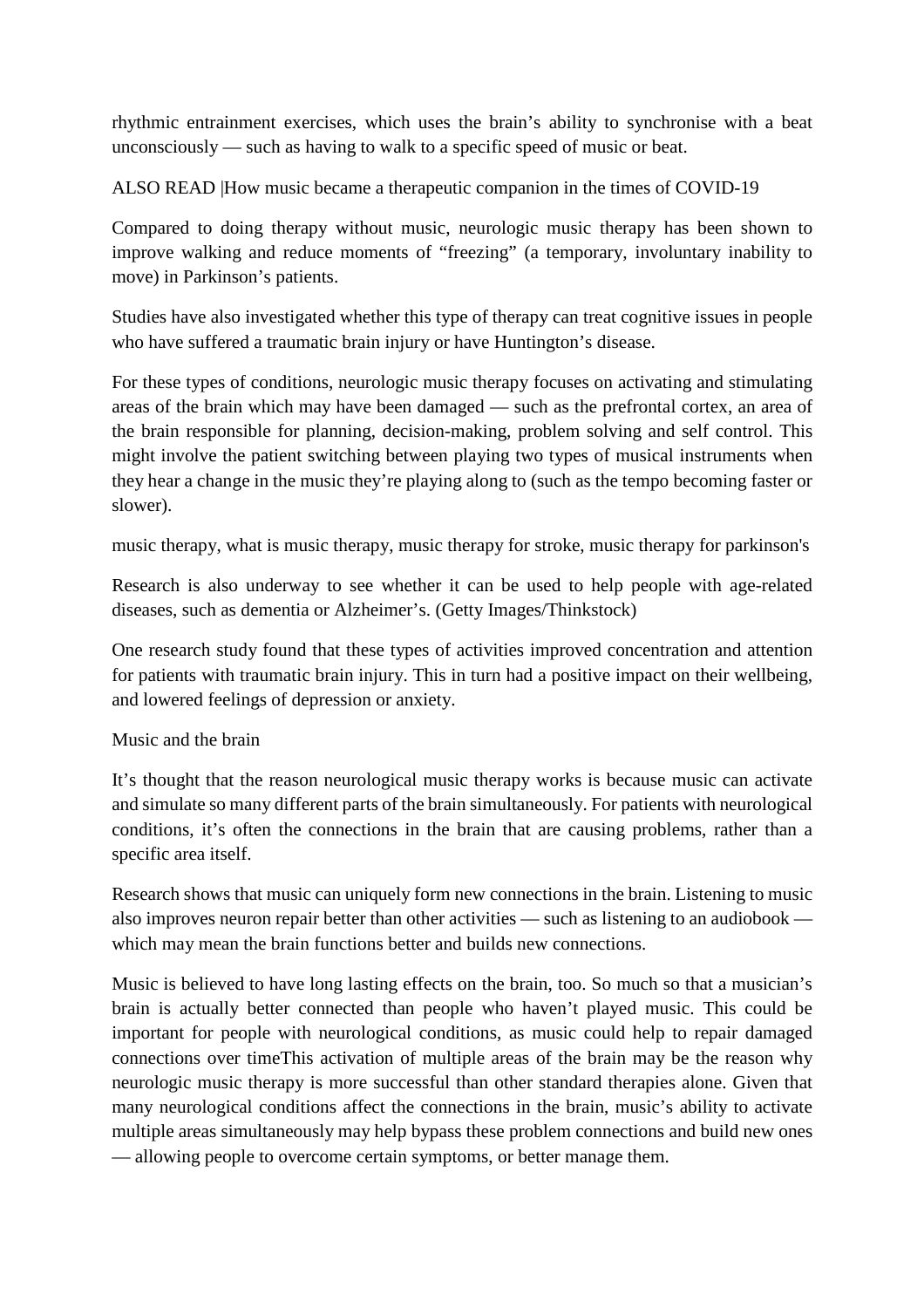rhythmic entrainment exercises, which uses the brain's ability to synchronise with a beat unconsciously — such as having to walk to a specific speed of music or beat.

ALSO READ |How music became a therapeutic companion in the times of COVID-19

Compared to doing therapy without music, neurologic music therapy has been shown to improve walking and reduce moments of "freezing" (a temporary, involuntary inability to move) in Parkinson's patients.

Studies have also investigated whether this type of therapy can treat cognitive issues in people who have suffered a traumatic brain injury or have Huntington's disease.

For these types of conditions, neurologic music therapy focuses on activating and stimulating areas of the brain which may have been damaged — such as the prefrontal cortex, an area of the brain responsible for planning, decision-making, problem solving and self control. This might involve the patient switching between playing two types of musical instruments when they hear a change in the music they're playing along to (such as the tempo becoming faster or slower).

music therapy, what is music therapy, music therapy for stroke, music therapy for parkinson's

Research is also underway to see whether it can be used to help people with age-related diseases, such as dementia or Alzheimer's. (Getty Images/Thinkstock)

One research study found that these types of activities improved concentration and attention for patients with traumatic brain injury. This in turn had a positive impact on their wellbeing, and lowered feelings of depression or anxiety.

Music and the brain

It's thought that the reason neurological music therapy works is because music can activate and simulate so many different parts of the brain simultaneously. For patients with neurological conditions, it's often the connections in the brain that are causing problems, rather than a specific area itself.

Research shows that music can uniquely form new connections in the brain. Listening to music also improves neuron repair better than other activities — such as listening to an audiobook which may mean the brain functions better and builds new connections.

Music is believed to have long lasting effects on the brain, too. So much so that a musician's brain is actually better connected than people who haven't played music. This could be important for people with neurological conditions, as music could help to repair damaged connections over timeThis activation of multiple areas of the brain may be the reason why neurologic music therapy is more successful than other standard therapies alone. Given that many neurological conditions affect the connections in the brain, music's ability to activate multiple areas simultaneously may help bypass these problem connections and build new ones — allowing people to overcome certain symptoms, or better manage them.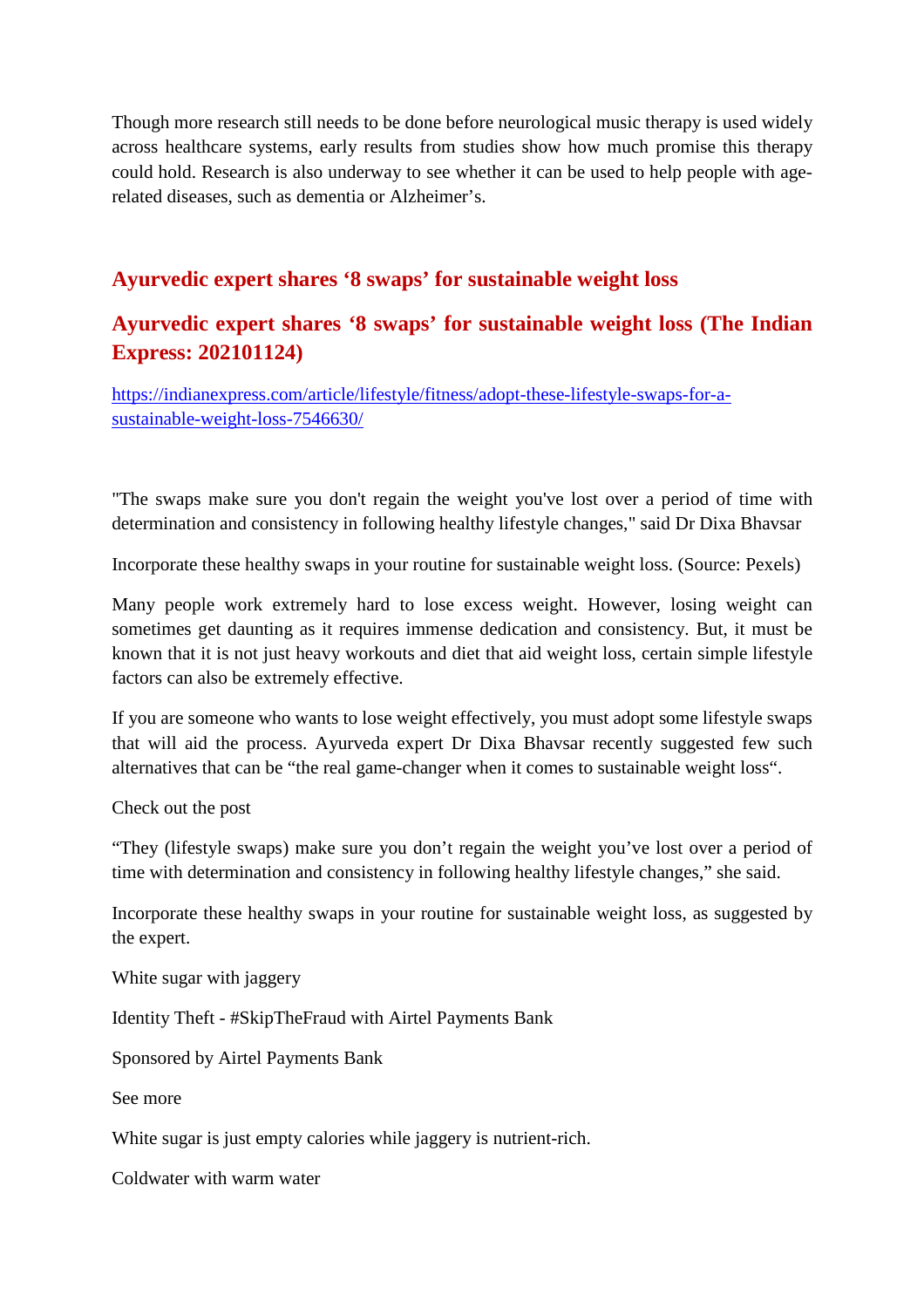Though more research still needs to be done before neurological music therapy is used widely across healthcare systems, early results from studies show how much promise this therapy could hold. Research is also underway to see whether it can be used to help people with agerelated diseases, such as dementia or Alzheimer's.

### **Ayurvedic expert shares '8 swaps' for sustainable weight loss**

# **Ayurvedic expert shares '8 swaps' for sustainable weight loss (The Indian Express: 202101124)**

https://indianexpress.com/article/lifestyle/fitness/adopt-these-lifestyle-swaps-for-asustainable-weight-loss-7546630/

"The swaps make sure you don't regain the weight you've lost over a period of time with determination and consistency in following healthy lifestyle changes," said Dr Dixa Bhavsar

Incorporate these healthy swaps in your routine for sustainable weight loss. (Source: Pexels)

Many people work extremely hard to lose excess weight. However, losing weight can sometimes get daunting as it requires immense dedication and consistency. But, it must be known that it is not just heavy workouts and diet that aid weight loss, certain simple lifestyle factors can also be extremely effective.

If you are someone who wants to lose weight effectively, you must adopt some lifestyle swaps that will aid the process. Ayurveda expert Dr Dixa Bhavsar recently suggested few such alternatives that can be "the real game-changer when it comes to sustainable weight loss".

Check out the post

"They (lifestyle swaps) make sure you don't regain the weight you've lost over a period of time with determination and consistency in following healthy lifestyle changes," she said.

Incorporate these healthy swaps in your routine for sustainable weight loss, as suggested by the expert.

White sugar with jaggery

Identity Theft - #SkipTheFraud with Airtel Payments Bank

Sponsored by Airtel Payments Bank

See more

White sugar is just empty calories while jaggery is nutrient-rich.

Coldwater with warm water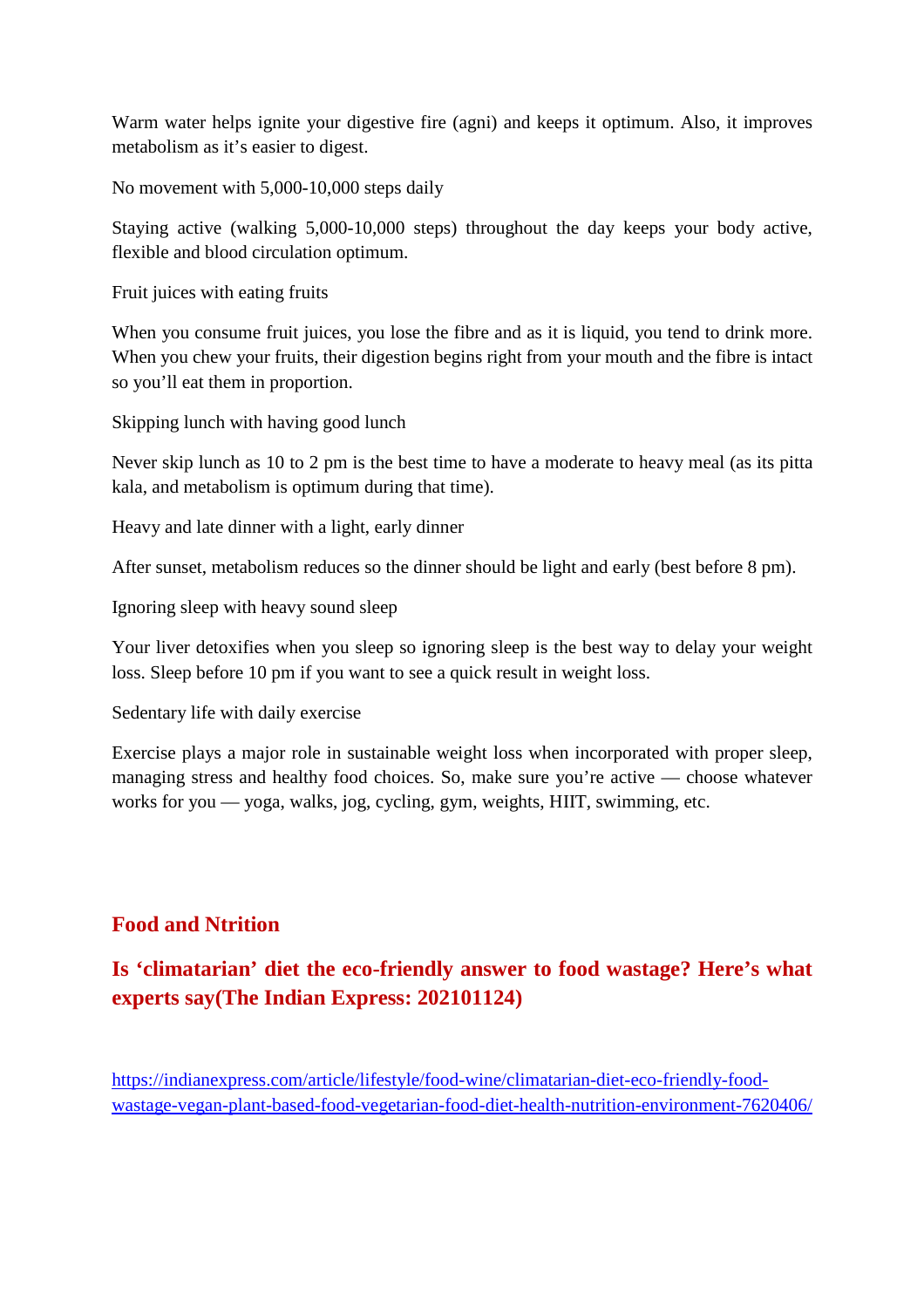Warm water helps ignite your digestive fire (agni) and keeps it optimum. Also, it improves metabolism as it's easier to digest.

No movement with 5,000-10,000 steps daily

Staying active (walking 5,000-10,000 steps) throughout the day keeps your body active, flexible and blood circulation optimum.

Fruit juices with eating fruits

When you consume fruit juices, you lose the fibre and as it is liquid, you tend to drink more. When you chew your fruits, their digestion begins right from your mouth and the fibre is intact so you'll eat them in proportion.

Skipping lunch with having good lunch

Never skip lunch as 10 to 2 pm is the best time to have a moderate to heavy meal (as its pitta kala, and metabolism is optimum during that time).

Heavy and late dinner with a light, early dinner

After sunset, metabolism reduces so the dinner should be light and early (best before 8 pm).

Ignoring sleep with heavy sound sleep

Your liver detoxifies when you sleep so ignoring sleep is the best way to delay your weight loss. Sleep before 10 pm if you want to see a quick result in weight loss.

Sedentary life with daily exercise

Exercise plays a major role in sustainable weight loss when incorporated with proper sleep, managing stress and healthy food choices. So, make sure you're active — choose whatever works for you — yoga, walks, jog, cycling, gym, weights, HIIT, swimming, etc.

### **Food and Ntrition**

# **Is 'climatarian' diet the eco-friendly answer to food wastage? Here's what experts say(The Indian Express: 202101124)**

https://indianexpress.com/article/lifestyle/food-wine/climatarian-diet-eco-friendly-foodwastage-vegan-plant-based-food-vegetarian-food-diet-health-nutrition-environment-7620406/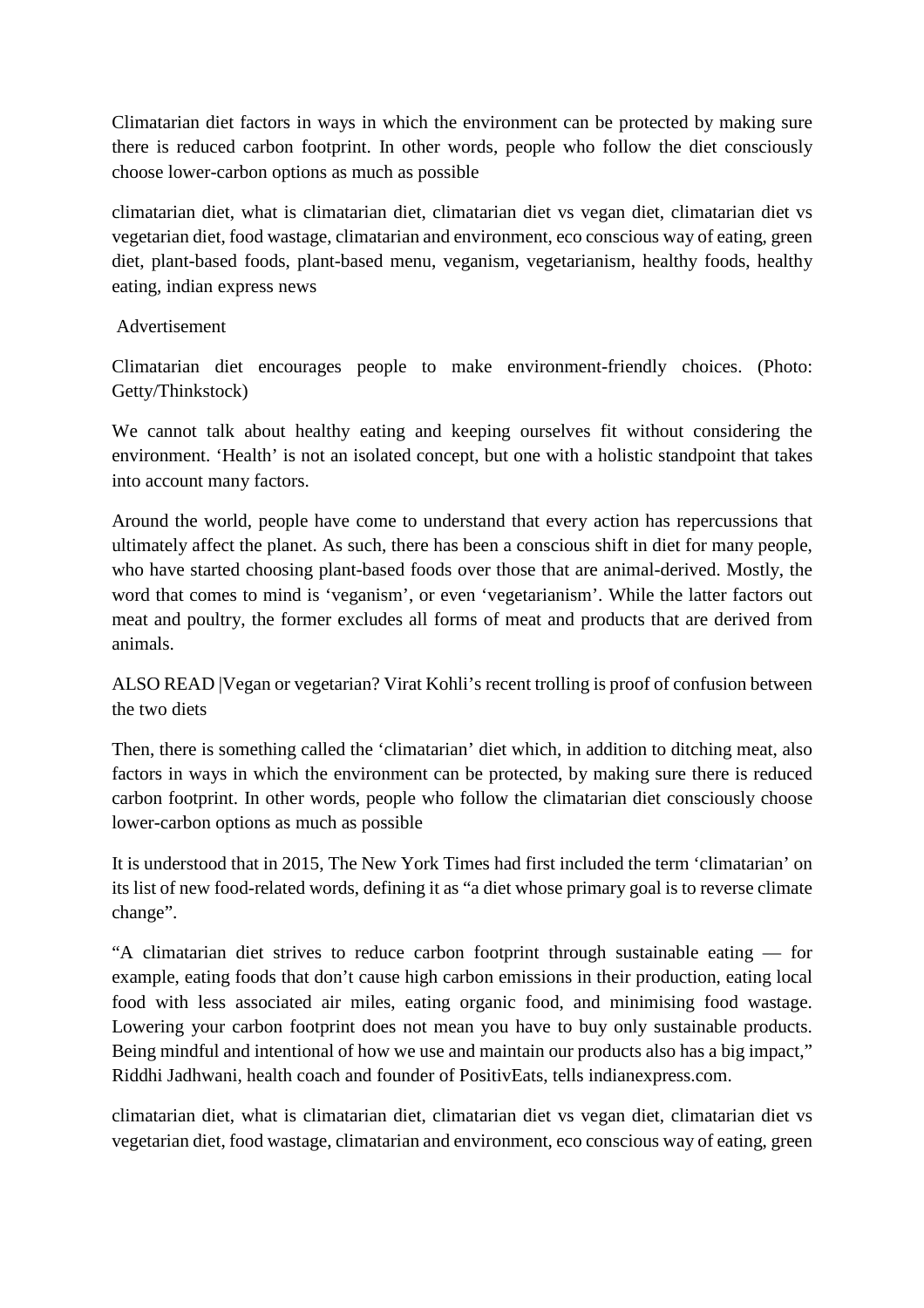Climatarian diet factors in ways in which the environment can be protected by making sure there is reduced carbon footprint. In other words, people who follow the diet consciously choose lower-carbon options as much as possible

climatarian diet, what is climatarian diet, climatarian diet vs vegan diet, climatarian diet vs vegetarian diet, food wastage, climatarian and environment, eco conscious way of eating, green diet, plant-based foods, plant-based menu, veganism, vegetarianism, healthy foods, healthy eating, indian express news

#### Advertisement

Climatarian diet encourages people to make environment-friendly choices. (Photo: Getty/Thinkstock)

We cannot talk about healthy eating and keeping ourselves fit without considering the environment. 'Health' is not an isolated concept, but one with a holistic standpoint that takes into account many factors.

Around the world, people have come to understand that every action has repercussions that ultimately affect the planet. As such, there has been a conscious shift in diet for many people, who have started choosing plant-based foods over those that are animal-derived. Mostly, the word that comes to mind is 'veganism', or even 'vegetarianism'. While the latter factors out meat and poultry, the former excludes all forms of meat and products that are derived from animals.

ALSO READ |Vegan or vegetarian? Virat Kohli's recent trolling is proof of confusion between the two diets

Then, there is something called the 'climatarian' diet which, in addition to ditching meat, also factors in ways in which the environment can be protected, by making sure there is reduced carbon footprint. In other words, people who follow the climatarian diet consciously choose lower-carbon options as much as possible

It is understood that in 2015, The New York Times had first included the term 'climatarian' on its list of new food-related words, defining it as "a diet whose primary goal is to reverse climate change".

"A climatarian diet strives to reduce carbon footprint through sustainable eating — for example, eating foods that don't cause high carbon emissions in their production, eating local food with less associated air miles, eating organic food, and minimising food wastage. Lowering your carbon footprint does not mean you have to buy only sustainable products. Being mindful and intentional of how we use and maintain our products also has a big impact," Riddhi Jadhwani, health coach and founder of PositivEats, tells indianexpress.com.

climatarian diet, what is climatarian diet, climatarian diet vs vegan diet, climatarian diet vs vegetarian diet, food wastage, climatarian and environment, eco conscious way of eating, green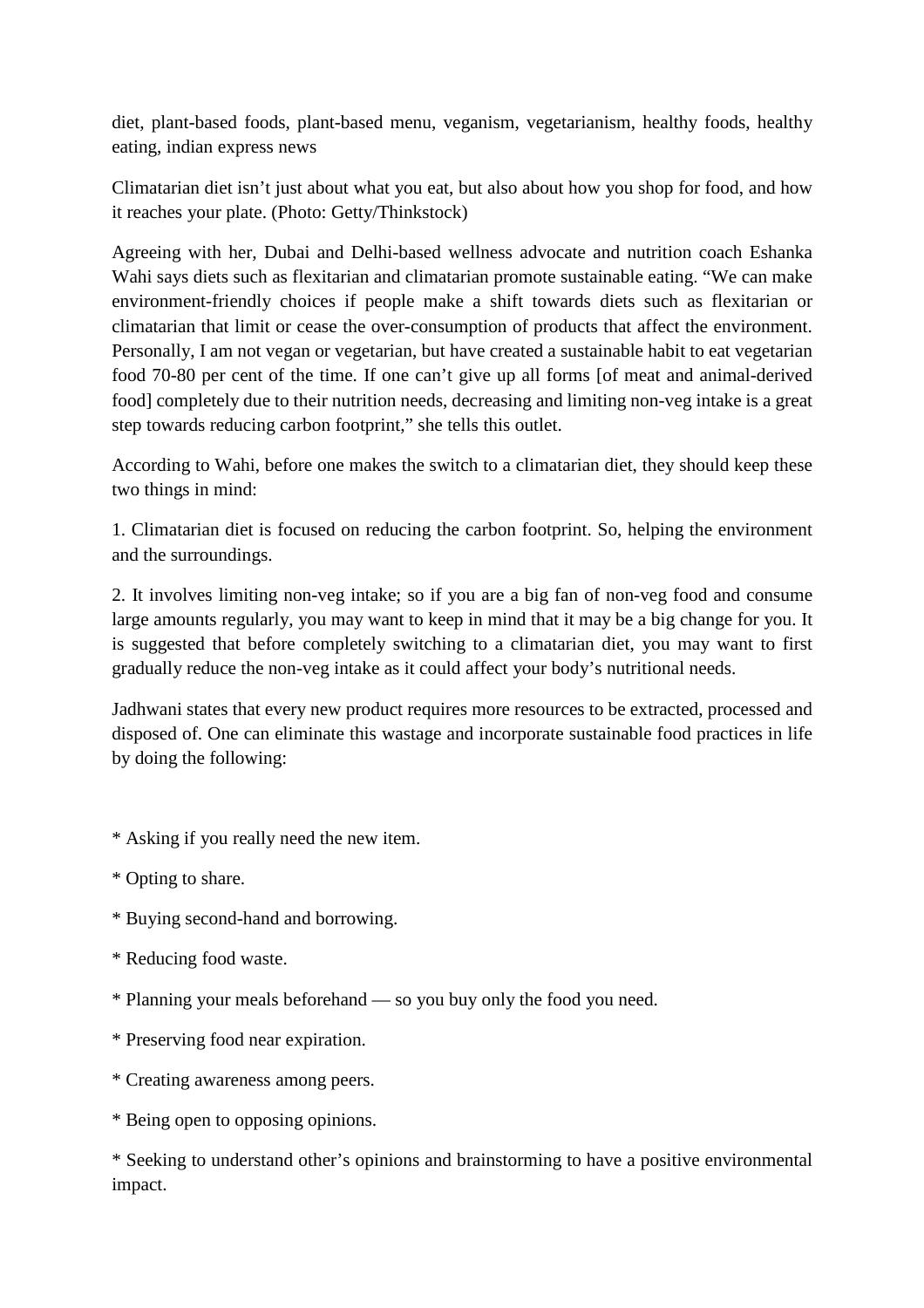diet, plant-based foods, plant-based menu, veganism, vegetarianism, healthy foods, healthy eating, indian express news

Climatarian diet isn't just about what you eat, but also about how you shop for food, and how it reaches your plate. (Photo: Getty/Thinkstock)

Agreeing with her, Dubai and Delhi-based wellness advocate and nutrition coach Eshanka Wahi says diets such as flexitarian and climatarian promote sustainable eating. "We can make environment-friendly choices if people make a shift towards diets such as flexitarian or climatarian that limit or cease the over-consumption of products that affect the environment. Personally, I am not vegan or vegetarian, but have created a sustainable habit to eat vegetarian food 70-80 per cent of the time. If one can't give up all forms [of meat and animal-derived food] completely due to their nutrition needs, decreasing and limiting non-veg intake is a great step towards reducing carbon footprint," she tells this outlet.

According to Wahi, before one makes the switch to a climatarian diet, they should keep these two things in mind:

1. Climatarian diet is focused on reducing the carbon footprint. So, helping the environment and the surroundings.

2. It involves limiting non-veg intake; so if you are a big fan of non-veg food and consume large amounts regularly, you may want to keep in mind that it may be a big change for you. It is suggested that before completely switching to a climatarian diet, you may want to first gradually reduce the non-veg intake as it could affect your body's nutritional needs.

Jadhwani states that every new product requires more resources to be extracted, processed and disposed of. One can eliminate this wastage and incorporate sustainable food practices in life by doing the following:

- \* Asking if you really need the new item.
- \* Opting to share.
- \* Buying second-hand and borrowing.
- \* Reducing food waste.
- \* Planning your meals beforehand so you buy only the food you need.
- \* Preserving food near expiration.
- \* Creating awareness among peers.
- \* Being open to opposing opinions.

\* Seeking to understand other's opinions and brainstorming to have a positive environmental impact.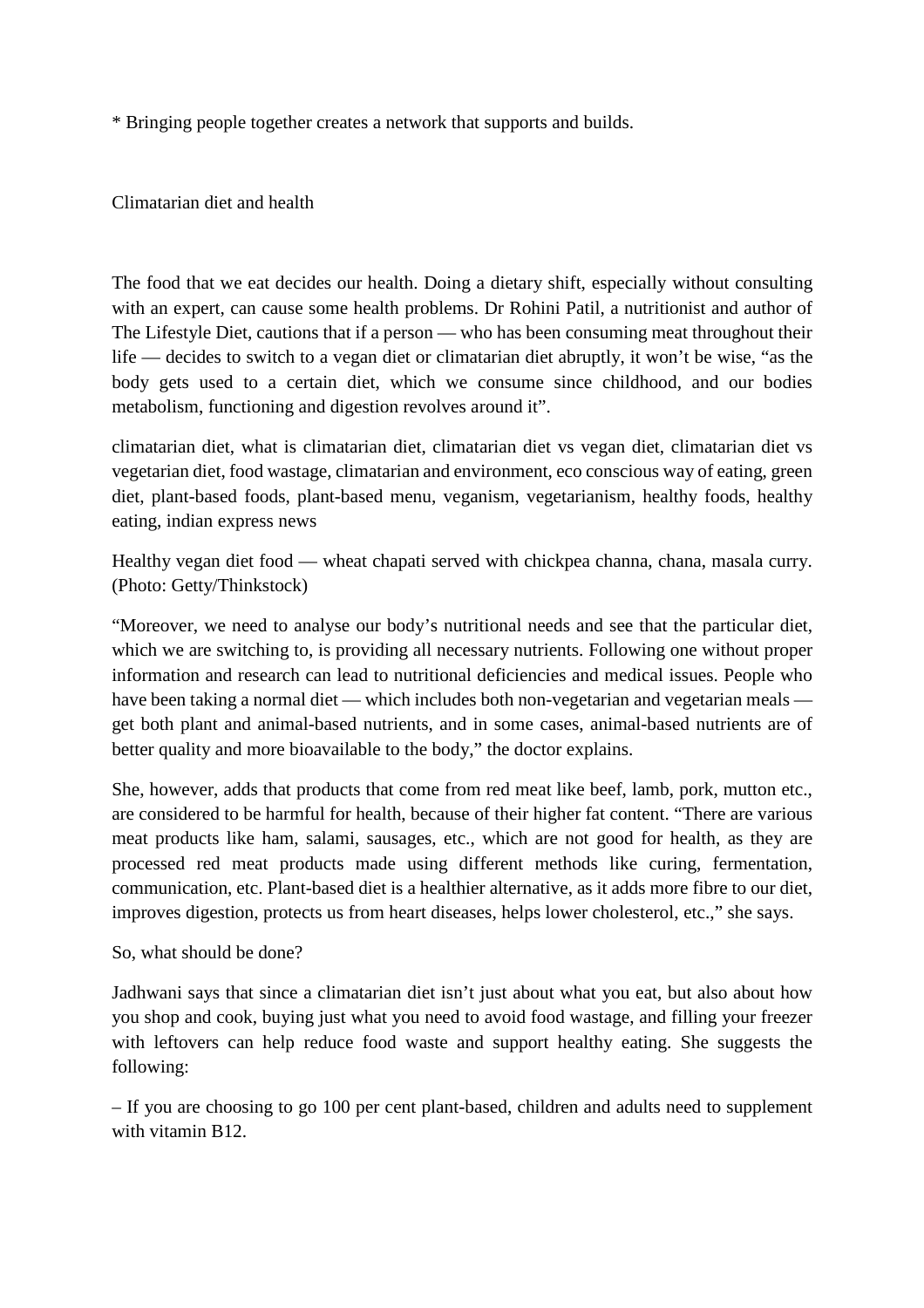\* Bringing people together creates a network that supports and builds.

Climatarian diet and health

The food that we eat decides our health. Doing a dietary shift, especially without consulting with an expert, can cause some health problems. Dr Rohini Patil, a nutritionist and author of The Lifestyle Diet, cautions that if a person — who has been consuming meat throughout their life — decides to switch to a vegan diet or climatarian diet abruptly, it won't be wise, "as the body gets used to a certain diet, which we consume since childhood, and our bodies metabolism, functioning and digestion revolves around it".

climatarian diet, what is climatarian diet, climatarian diet vs vegan diet, climatarian diet vs vegetarian diet, food wastage, climatarian and environment, eco conscious way of eating, green diet, plant-based foods, plant-based menu, veganism, vegetarianism, healthy foods, healthy eating, indian express news

Healthy vegan diet food — wheat chapati served with chickpea channa, chana, masala curry. (Photo: Getty/Thinkstock)

"Moreover, we need to analyse our body's nutritional needs and see that the particular diet, which we are switching to, is providing all necessary nutrients. Following one without proper information and research can lead to nutritional deficiencies and medical issues. People who have been taking a normal diet — which includes both non-vegetarian and vegetarian meals get both plant and animal-based nutrients, and in some cases, animal-based nutrients are of better quality and more bioavailable to the body," the doctor explains.

She, however, adds that products that come from red meat like beef, lamb, pork, mutton etc., are considered to be harmful for health, because of their higher fat content. "There are various meat products like ham, salami, sausages, etc., which are not good for health, as they are processed red meat products made using different methods like curing, fermentation, communication, etc. Plant-based diet is a healthier alternative, as it adds more fibre to our diet, improves digestion, protects us from heart diseases, helps lower cholesterol, etc.," she says.

So, what should be done?

Jadhwani says that since a climatarian diet isn't just about what you eat, but also about how you shop and cook, buying just what you need to avoid food wastage, and filling your freezer with leftovers can help reduce food waste and support healthy eating. She suggests the following:

– If you are choosing to go 100 per cent plant-based, children and adults need to supplement with vitamin B12.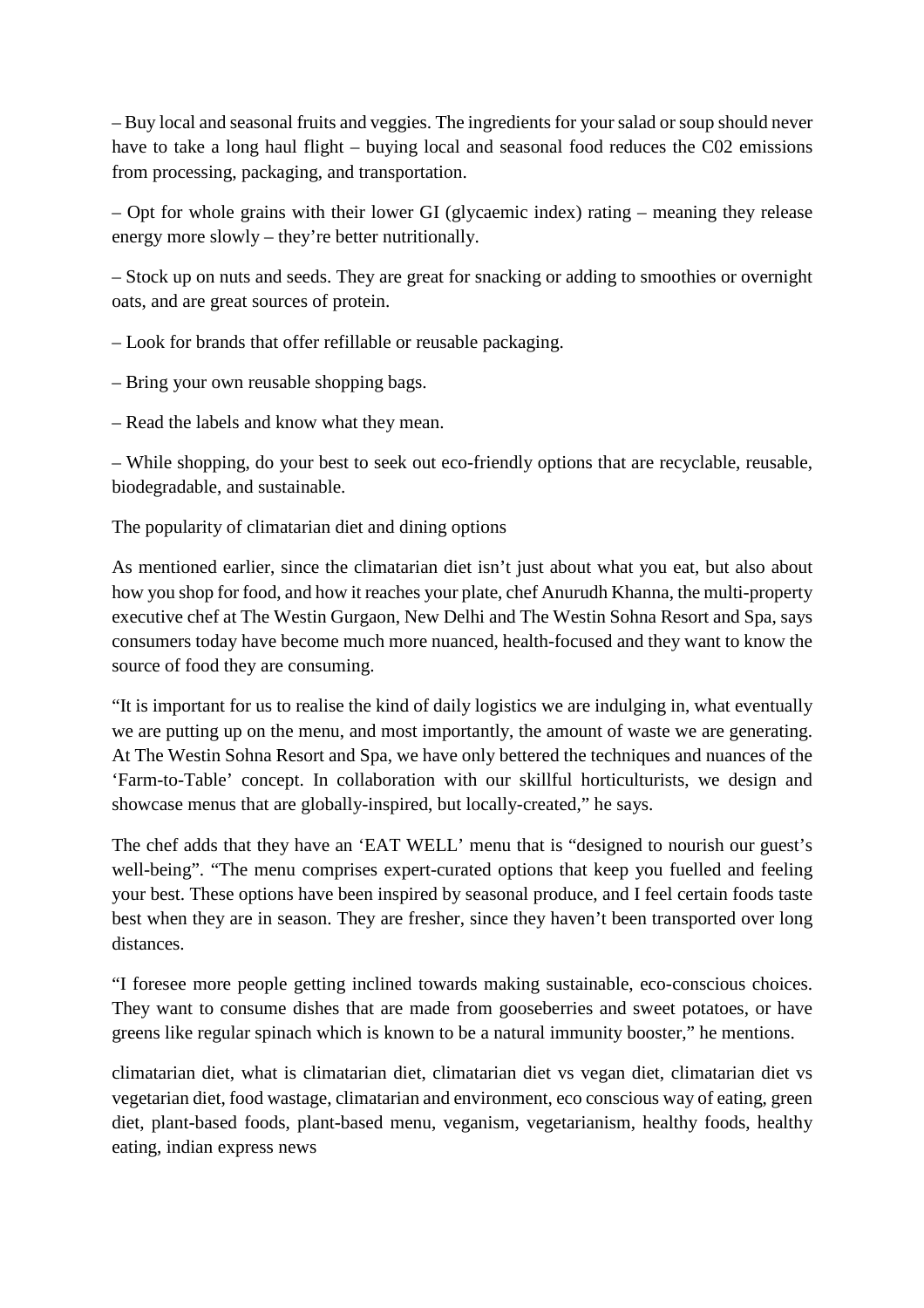– Buy local and seasonal fruits and veggies. The ingredients for your salad or soup should never have to take a long haul flight – buying local and seasonal food reduces the C02 emissions from processing, packaging, and transportation.

– Opt for whole grains with their lower GI (glycaemic index) rating – meaning they release energy more slowly – they're better nutritionally.

– Stock up on nuts and seeds. They are great for snacking or adding to smoothies or overnight oats, and are great sources of protein.

– Look for brands that offer refillable or reusable packaging.

- Bring your own reusable shopping bags.
- Read the labels and know what they mean.

– While shopping, do your best to seek out eco-friendly options that are recyclable, reusable, biodegradable, and sustainable.

The popularity of climatarian diet and dining options

As mentioned earlier, since the climatarian diet isn't just about what you eat, but also about how you shop for food, and how it reaches your plate, chef Anurudh Khanna, the multi-property executive chef at The Westin Gurgaon, New Delhi and The Westin Sohna Resort and Spa, says consumers today have become much more nuanced, health-focused and they want to know the source of food they are consuming.

"It is important for us to realise the kind of daily logistics we are indulging in, what eventually we are putting up on the menu, and most importantly, the amount of waste we are generating. At The Westin Sohna Resort and Spa, we have only bettered the techniques and nuances of the 'Farm-to-Table' concept. In collaboration with our skillful horticulturists, we design and showcase menus that are globally-inspired, but locally-created," he says.

The chef adds that they have an 'EAT WELL' menu that is "designed to nourish our guest's well-being". "The menu comprises expert-curated options that keep you fuelled and feeling your best. These options have been inspired by seasonal produce, and I feel certain foods taste best when they are in season. They are fresher, since they haven't been transported over long distances.

"I foresee more people getting inclined towards making sustainable, eco-conscious choices. They want to consume dishes that are made from gooseberries and sweet potatoes, or have greens like regular spinach which is known to be a natural immunity booster," he mentions.

climatarian diet, what is climatarian diet, climatarian diet vs vegan diet, climatarian diet vs vegetarian diet, food wastage, climatarian and environment, eco conscious way of eating, green diet, plant-based foods, plant-based menu, veganism, vegetarianism, healthy foods, healthy eating, indian express news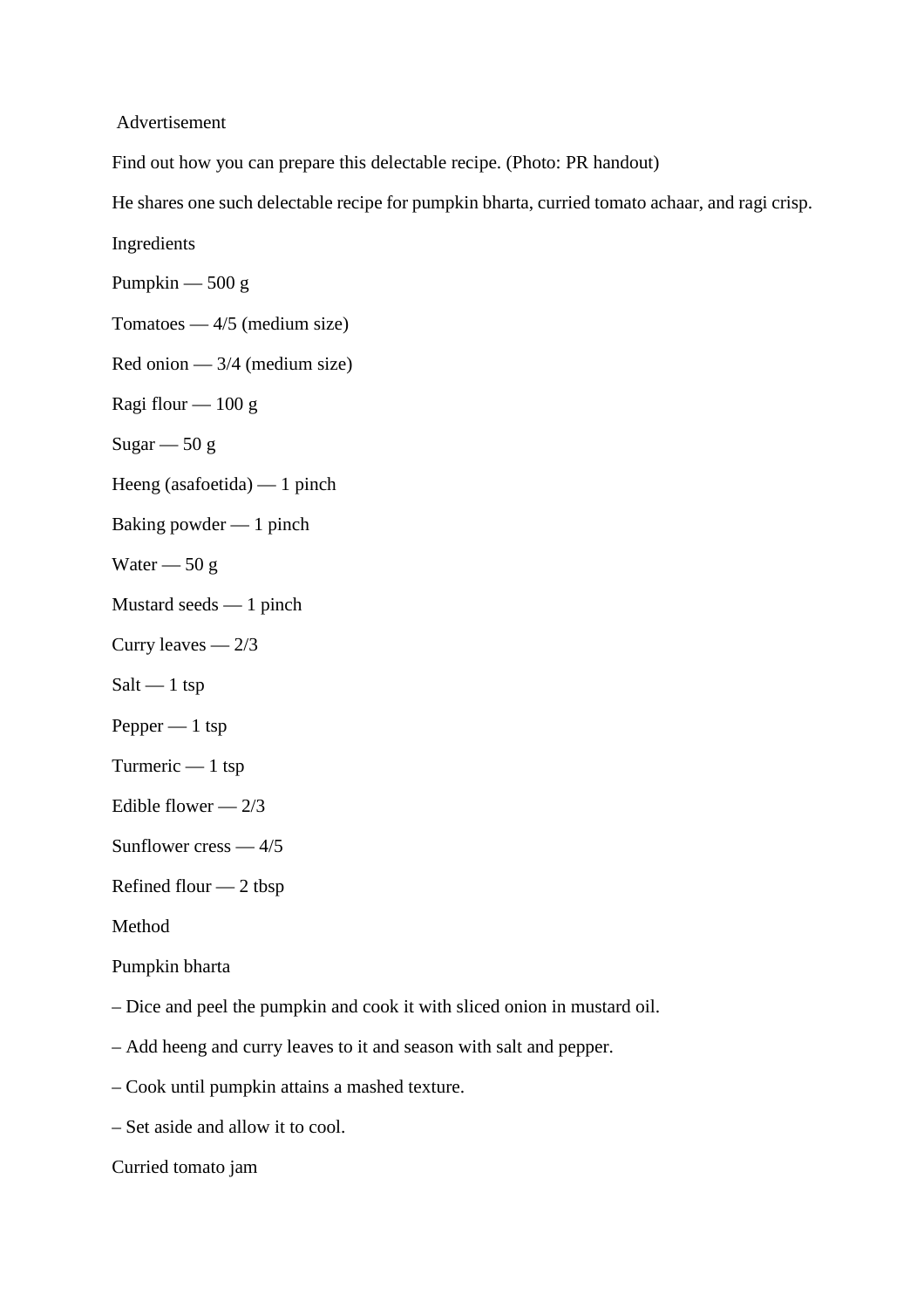Advertisement

Find out how you can prepare this delectable recipe. (Photo: PR handout)

He shares one such delectable recipe for pumpkin bharta, curried tomato achaar, and ragi crisp.

Ingredients

Pumpkin  $-500 g$ 

Tomatoes  $-4/5$  (medium size)

Red onion — 3/4 (medium size)

Ragi flour  $-100 g$ 

Sugar  $-50 g$ 

Heeng (asafoetida) — 1 pinch

Baking powder — 1 pinch

Water  $-50 g$ 

Mustard seeds — 1 pinch

Curry leaves — 2/3

 $Salt - 1$  tsp

Pepper — 1 tsp

Turmeric — 1 tsp

Edible flower  $-2/3$ 

Sunflower cress — 4/5

Refined flour — 2 tbsp

Method

Pumpkin bharta

– Dice and peel the pumpkin and cook it with sliced onion in mustard oil.

– Add heeng and curry leaves to it and season with salt and pepper.

– Cook until pumpkin attains a mashed texture.

– Set aside and allow it to cool.

Curried tomato jam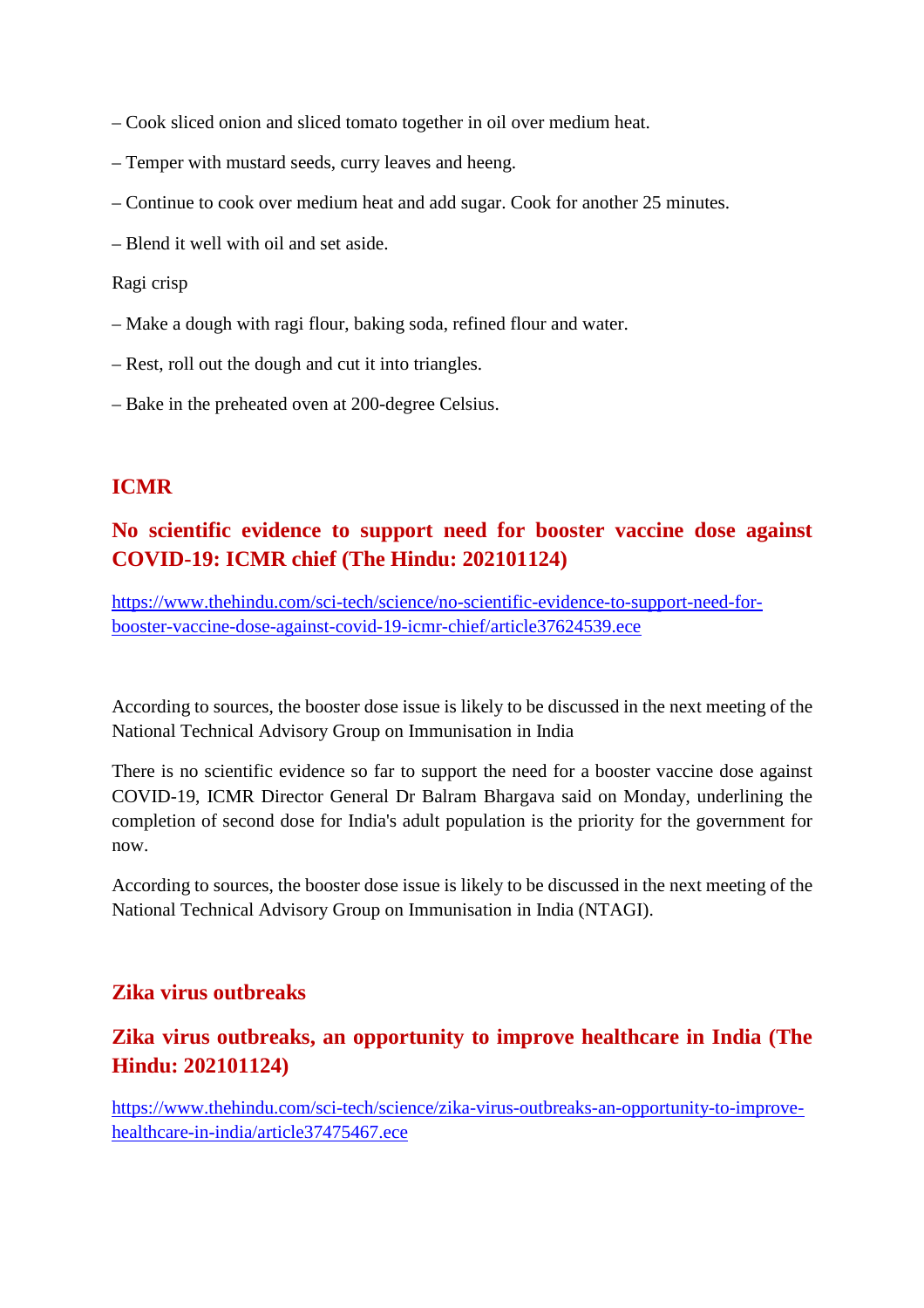- Cook sliced onion and sliced tomato together in oil over medium heat.
- Temper with mustard seeds, curry leaves and heeng.
- Continue to cook over medium heat and add sugar. Cook for another 25 minutes.
- Blend it well with oil and set aside.

#### Ragi crisp

- Make a dough with ragi flour, baking soda, refined flour and water.
- Rest, roll out the dough and cut it into triangles.
- Bake in the preheated oven at 200-degree Celsius.

# **ICMR**

# **No scientific evidence to support need for booster vaccine dose against COVID-19: ICMR chief (The Hindu: 202101124)**

https://www.thehindu.com/sci-tech/science/no-scientific-evidence-to-support-need-forbooster-vaccine-dose-against-covid-19-icmr-chief/article37624539.ece

According to sources, the booster dose issue is likely to be discussed in the next meeting of the National Technical Advisory Group on Immunisation in India

There is no scientific evidence so far to support the need for a booster vaccine dose against COVID-19, ICMR Director General Dr Balram Bhargava said on Monday, underlining the completion of second dose for India's adult population is the priority for the government for now.

According to sources, the booster dose issue is likely to be discussed in the next meeting of the National Technical Advisory Group on Immunisation in India (NTAGI).

### **Zika virus outbreaks**

# **Zika virus outbreaks, an opportunity to improve healthcare in India (The Hindu: 202101124)**

https://www.thehindu.com/sci-tech/science/zika-virus-outbreaks-an-opportunity-to-improvehealthcare-in-india/article37475467.ece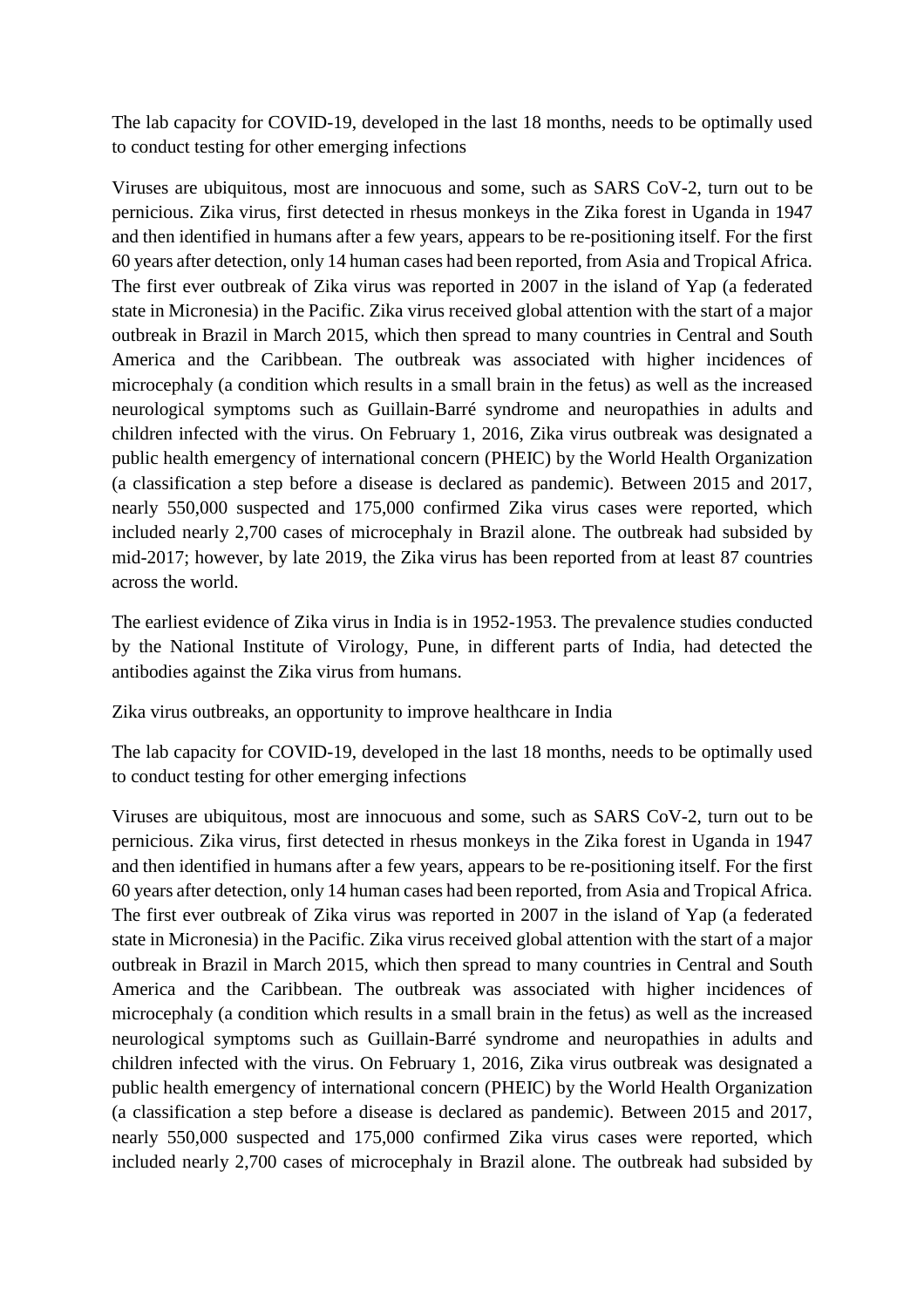The lab capacity for COVID-19, developed in the last 18 months, needs to be optimally used to conduct testing for other emerging infections

Viruses are ubiquitous, most are innocuous and some, such as SARS CoV-2, turn out to be pernicious. Zika virus, first detected in rhesus monkeys in the Zika forest in Uganda in 1947 and then identified in humans after a few years, appears to be re-positioning itself. For the first 60 years after detection, only 14 human cases had been reported, from Asia and Tropical Africa. The first ever outbreak of Zika virus was reported in 2007 in the island of Yap (a federated state in Micronesia) in the Pacific. Zika virus received global attention with the start of a major outbreak in Brazil in March 2015, which then spread to many countries in Central and South America and the Caribbean. The outbreak was associated with higher incidences of microcephaly (a condition which results in a small brain in the fetus) as well as the increased neurological symptoms such as Guillain-Barré syndrome and neuropathies in adults and children infected with the virus. On February 1, 2016, Zika virus outbreak was designated a public health emergency of international concern (PHEIC) by the World Health Organization (a classification a step before a disease is declared as pandemic). Between 2015 and 2017, nearly 550,000 suspected and 175,000 confirmed Zika virus cases were reported, which included nearly 2,700 cases of microcephaly in Brazil alone. The outbreak had subsided by mid-2017; however, by late 2019, the Zika virus has been reported from at least 87 countries across the world.

The earliest evidence of Zika virus in India is in 1952-1953. The prevalence studies conducted by the National Institute of Virology, Pune, in different parts of India, had detected the antibodies against the Zika virus from humans.

Zika virus outbreaks, an opportunity to improve healthcare in India

The lab capacity for COVID-19, developed in the last 18 months, needs to be optimally used to conduct testing for other emerging infections

Viruses are ubiquitous, most are innocuous and some, such as SARS CoV-2, turn out to be pernicious. Zika virus, first detected in rhesus monkeys in the Zika forest in Uganda in 1947 and then identified in humans after a few years, appears to be re-positioning itself. For the first 60 years after detection, only 14 human cases had been reported, from Asia and Tropical Africa. The first ever outbreak of Zika virus was reported in 2007 in the island of Yap (a federated state in Micronesia) in the Pacific. Zika virus received global attention with the start of a major outbreak in Brazil in March 2015, which then spread to many countries in Central and South America and the Caribbean. The outbreak was associated with higher incidences of microcephaly (a condition which results in a small brain in the fetus) as well as the increased neurological symptoms such as Guillain-Barré syndrome and neuropathies in adults and children infected with the virus. On February 1, 2016, Zika virus outbreak was designated a public health emergency of international concern (PHEIC) by the World Health Organization (a classification a step before a disease is declared as pandemic). Between 2015 and 2017, nearly 550,000 suspected and 175,000 confirmed Zika virus cases were reported, which included nearly 2,700 cases of microcephaly in Brazil alone. The outbreak had subsided by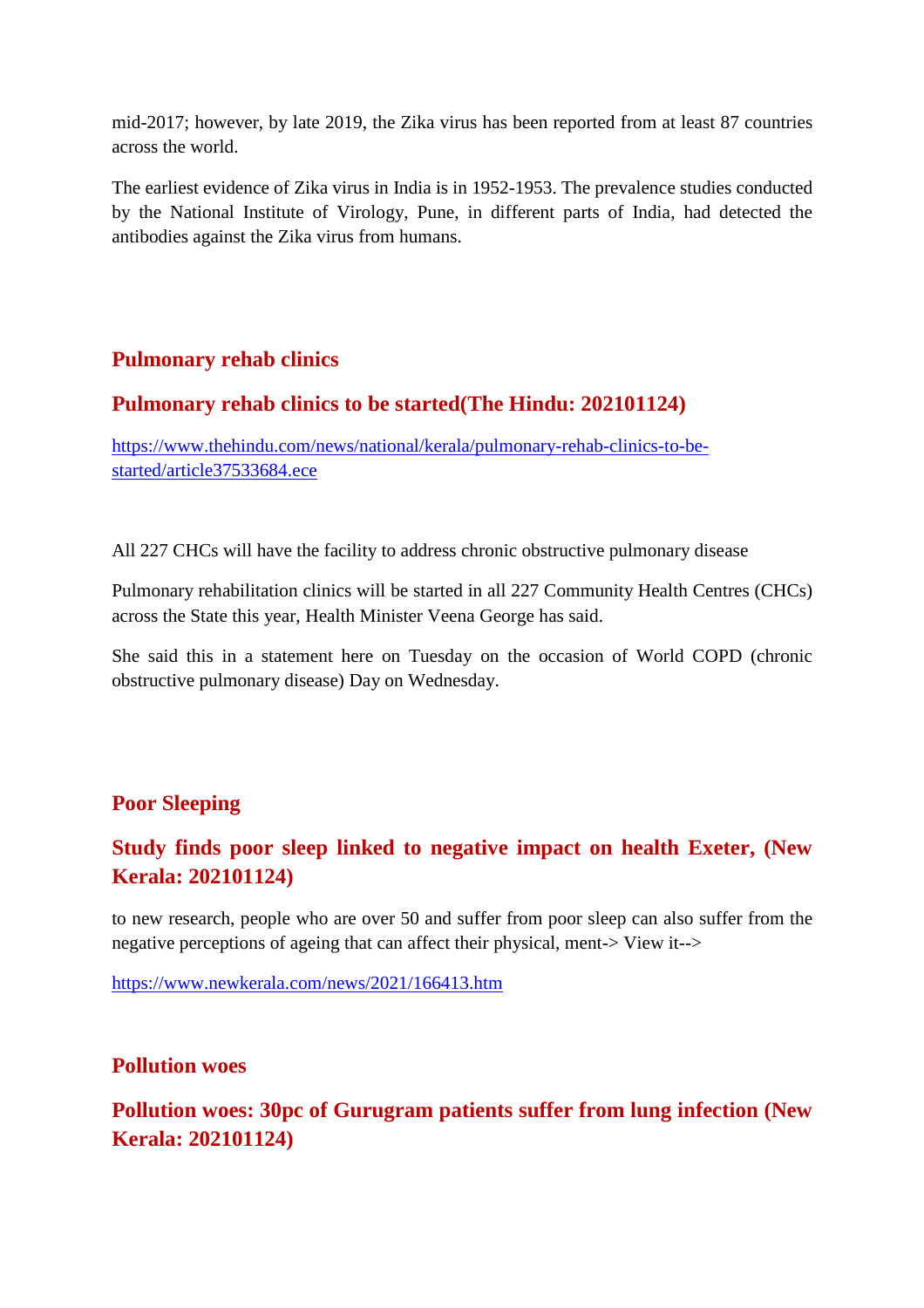mid-2017; however, by late 2019, the Zika virus has been reported from at least 87 countries across the world.

The earliest evidence of Zika virus in India is in 1952-1953. The prevalence studies conducted by the National Institute of Virology, Pune, in different parts of India, had detected the antibodies against the Zika virus from humans.

### **Pulmonary rehab clinics**

### **Pulmonary rehab clinics to be started(The Hindu: 202101124)**

https://www.thehindu.com/news/national/kerala/pulmonary-rehab-clinics-to-bestarted/article37533684.ece

All 227 CHCs will have the facility to address chronic obstructive pulmonary disease

Pulmonary rehabilitation clinics will be started in all 227 Community Health Centres (CHCs) across the State this year, Health Minister Veena George has said.

She said this in a statement here on Tuesday on the occasion of World COPD (chronic obstructive pulmonary disease) Day on Wednesday.

### **Poor Sleeping**

# **Study finds poor sleep linked to negative impact on health Exeter, (New Kerala: 202101124)**

to new research, people who are over 50 and suffer from poor sleep can also suffer from the negative perceptions of ageing that can affect their physical, ment-> View it-->

https://www.newkerala.com/news/2021/166413.htm

### **Pollution woes**

# **Pollution woes: 30pc of Gurugram patients suffer from lung infection (New Kerala: 202101124)**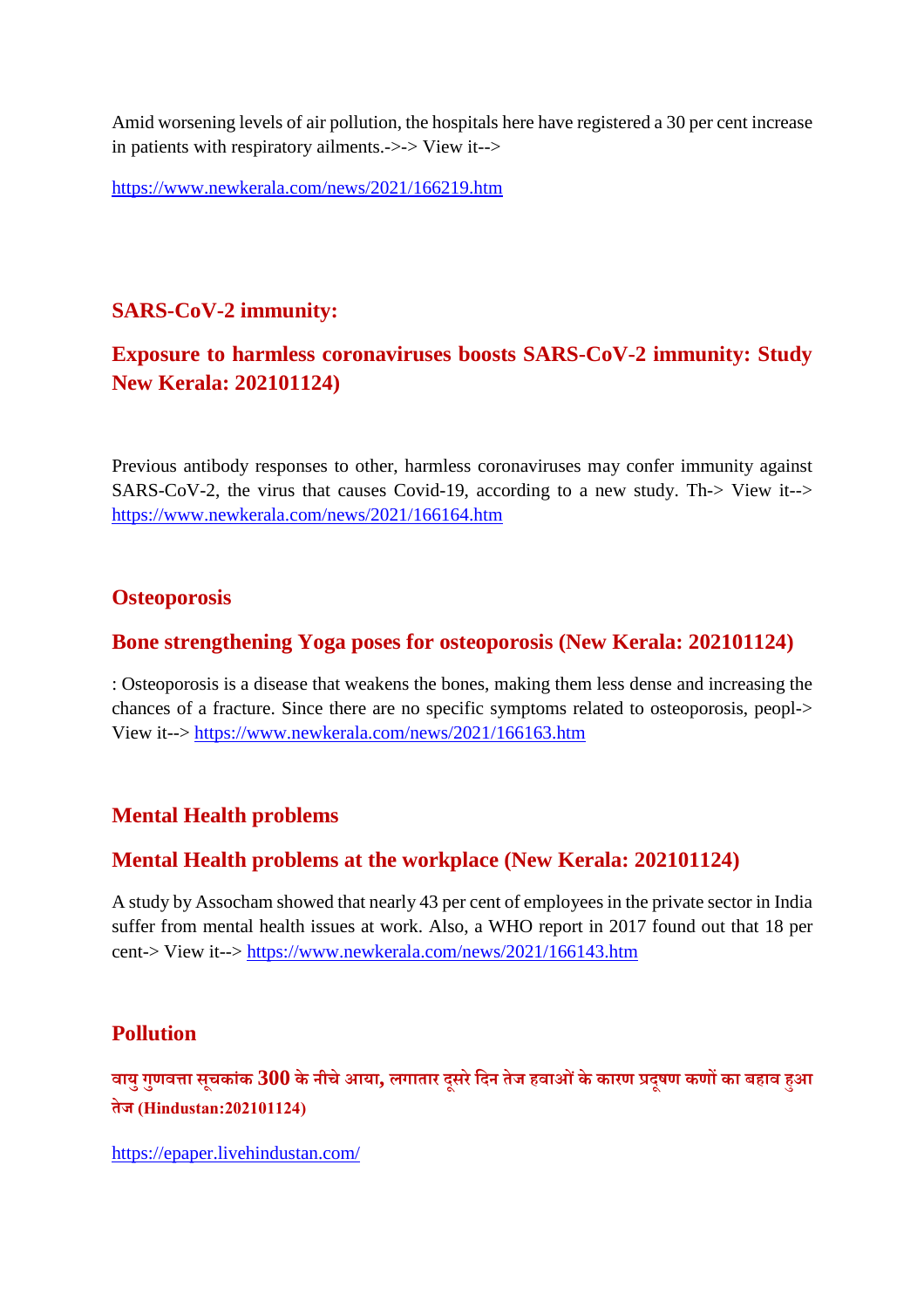Amid worsening levels of air pollution, the hospitals here have registered a 30 per cent increase in patients with respiratory ailments.->-> View it-->

https://www.newkerala.com/news/2021/166219.htm

### **SARS-CoV-2 immunity:**

# **Exposure to harmless coronaviruses boosts SARS-CoV-2 immunity: Study New Kerala: 202101124)**

Previous antibody responses to other, harmless coronaviruses may confer immunity against SARS-CoV-2, the virus that causes Covid-19, according to a new study. Th-> View it--> https://www.newkerala.com/news/2021/166164.htm

#### **Osteoporosis**

#### **Bone strengthening Yoga poses for osteoporosis (New Kerala: 202101124)**

: Osteoporosis is a disease that weakens the bones, making them less dense and increasing the chances of a fracture. Since there are no specific symptoms related to osteoporosis, peopl-> View it--> https://www.newkerala.com/news/2021/166163.htm

### **Mental Health problems**

### **Mental Health problems at the workplace (New Kerala: 202101124)**

A study by Assocham showed that nearly 43 per cent of employees in the private sector in India suffer from mental health issues at work. Also, a WHO report in 2017 found out that 18 per cent-> View it--> https://www.newkerala.com/news/2021/166143.htm

### **Pollution**

**वायुगुणवा सचू कांक 300 के नीचेआया, लगातार दूसरेिदन तेज हवाओंकेकारण दूषण कणका बहाव हआ तेज (Hindustan:202101124)**

https://epaper.livehindustan.com/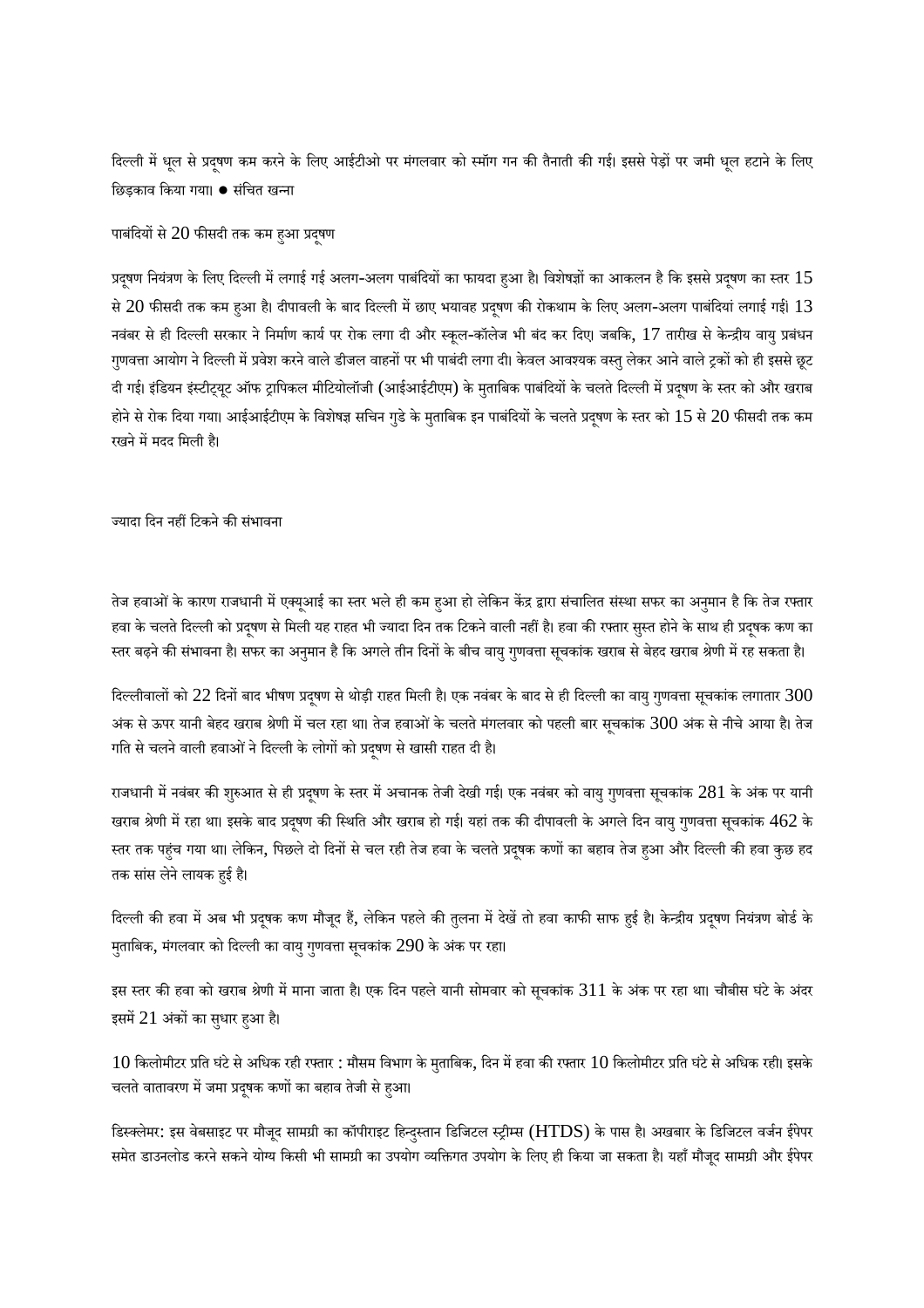दिल्ली में धूल से प्रदुषण कम करने के लिए आईटीओ पर मंगलवार को स्मॉग गन की तैनाती की गई। इससे पेड़ों पर जमी धूल हटाने के लिए िछड़काव िकया गया। ● संिचत खना

पाबंदियों से  $20$  फीसदी तक कम हुआ प्रदूषण

प्रदूषण नियंत्रण के लिए दिल्ली में लगाई गई अलग-अलग पाबंदियों का फायदा हुआ है। विशेषज्ञों का आकलन है कि इससे प्रदूषण का स्तर  $15$ से  $20$  फीसदी तक कम हुआ है। दीपावली के बाद दिल्ली में छाए भयावह प्रदूषण की रोकथाम के लिए अलग-अलग पाबंदियां लगाई गई।  $13\,$ नवंबर से ही दिल्ली सरकार ने निर्माण कार्य पर रोक लगा दी और स्कूल-कॉलेज भी बंद कर दिए। जबकि, 17 तारीख से केन्द्रीय वायु प्रबंधन गुणवत्ता आयोग ने दिल्ली में प्रवेश करने वाले डीजल वाहनों पर भी पाबंदी लगा दी। केवल आवश्यक वस्तु लेकर आने वाले ट्रकों को ही इससे छूट दी गई। इंडियन इंस्टीट्यूट ऑफ ट्रापिकल मीटियोलॉजी (आईआईटीएम) के मुताबिक पाबंदियों के चलते दिल्ली में प्रदूषण के स्तर को और खराब होने से रोक दिया गया। आईआईटीएम के विशेषज्ञ सचिन गुडे के मताबिक इन पाबंदियों के चलते प्रदषण के स्तर को  $15$  से  $20$  फीसदी तक कम रखने में मदद मिली है।

ज्यादा दिन नहीं टिकने की संभावना

तेज हवाओं के कारण राजधानी में एक्यूआई का स्तर भले ही कम हुआ हो लेकिन केंद्र द्वारा संचालित संस्था सफर का अनुमान है कि तेज रफ्तार हवा के चलते दिल्ली को प्रदूषण से मिली यह राहत भी ज्यादा दिन तक टिकने वाली नहीं है। हवा की रफ्तार सुस्त होने के साथ ही प्रदूषक कण का स्तर बढ़ने की संभावना है। सफर का अनुमान है कि अगले तीन दिनों के बीच वायु गुणवत्ता सूचकांक खराब से बेहद खराब श्रेणी में रह सकता है।

दिल्लीवालों को 22 दिनों बाद भीषण प्रदूषण से थोड़ी राहत मिली है। एक नवंबर के बाद से ही दिल्ली का वायु गुणवत्ता सूचकांक लगातार 300 अंक से ऊपर यानी बेहद खराब श्रेणी में चल रहा था। तेज हवाओं के चलते मंगलवार को पहली बार सुचकांक 300 अंक से नीचे आया है। तेज गति से चलने वाली हवाओं ने दिल्ली के लोगों को प्रदुषण से खासी राहत दी है।

राजधानी में नवंबर की शुरुआत से ही प्रदूषण के स्तर में अचानक तेजी देखी गई। एक नवंबर को वायु गुणवत्ता सूचकांक 281 के अंक पर यानी खराब श्रेणी में रहा था। इसके बाद प्रदूषण की स्थिति और खराब हो गई। यहां तक की दीपावली के अगले दिन वायु गुणवत्ता सूचकांक 462 के स्तर तक पहुंच गया था। लेकिन, पिछले दो दिनों से चल रही तेज हवा के चलते प्रदूषक कणों का बहाव तेज हुआ और दिल्ली की हवा कुछ हद तक सांस लेने लायक हुई है।

दिल्ली की हवा में अब भी प्रदुषक कण मौजूद हैं, लेकिन पहले की तुलना में देखें तो हवा काफी साफ हुई है। केन्द्रीय प्रदुषण नियंत्रण बोर्ड के मुताबिक, मंगलवार को दिल्ली का वायु गुणवत्ता सूचकांक 290 के अंक पर रहा।

इस स्तर की हवा को खराब श्रेणी में माना जाता है। एक दिन पहले यानी सोमवार को सूचकांक  $311$  के अंक पर रहा था। चौबीस घंटे के अंदर इसमें 21 अंकों का सुधार हुआ है।

 $10$  किलोमीटर प्रति घंटे से अधिक रही रफ्तार : मौसम विभाग के मताबिक, दिन में हवा की रफ्तार  $10$  किलोमीटर प्रति घंटे से अधिक रही। इसके चलते वातावरण में जमा प्रदूषक कणों का बहाव तेजी से हुआ।

डिस्क्लेमर: इस वेबसाइट पर मौजूद सामग्री का कॉपीराइट हिन्दुस्तान डिजिटल स्ट्रीम्स (HTDS) के पास है। अखबार के डिजिटल वर्जन ईपेपर समेत डाउनलोड करने सकने योग्य किसी भी सामग्री का उपयोग व्यक्तिगत उपयोग के लिए ही किया जा सकता है। यहाँ मौजूद सामग्री और ईपेपर